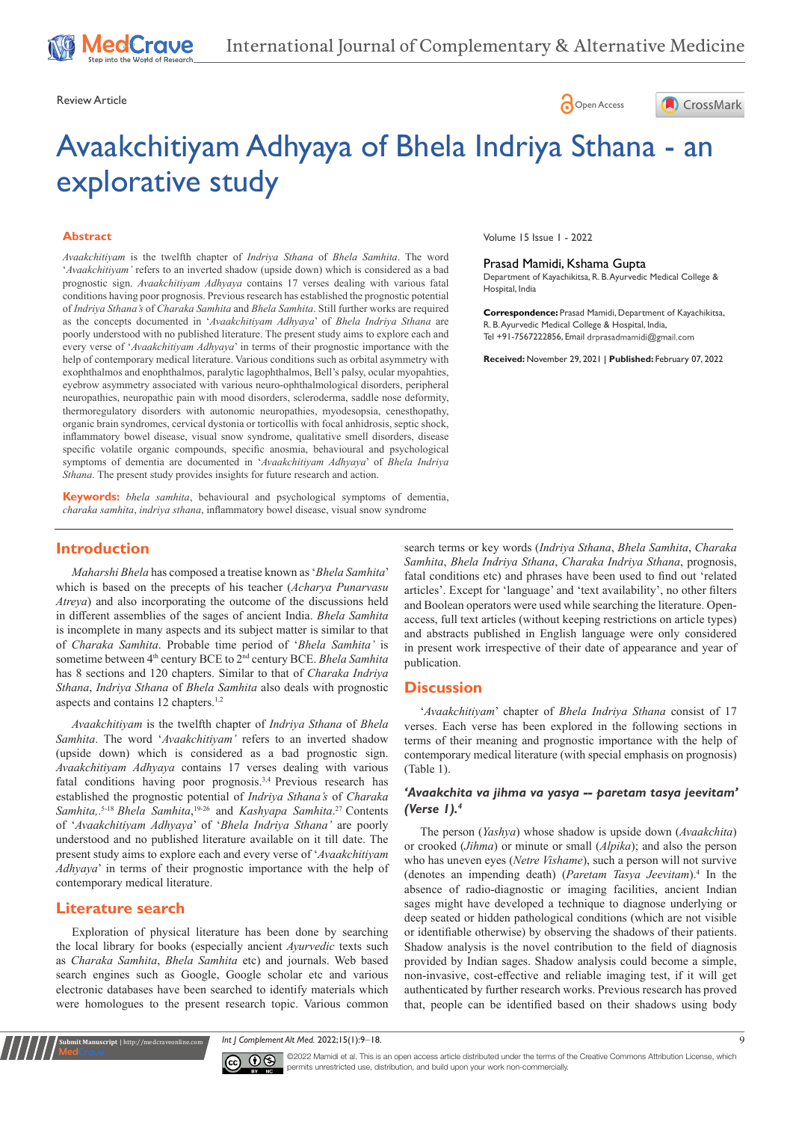Review Article **Contracts** Contracts and Contracts Contracts Contracts Contracts Contracts Contracts Contracts Contracts Contracts Contracts Contracts Contracts Contracts Contracts Contracts Contracts Contracts Contracts C





# Avaakchitiyam Adhyaya of Bhela Indriya Sthana - an explorative study

#### **Abstract**

*Avaakchitiyam* is the twelfth chapter of *Indriya Sthana* of *Bhela Samhita*. The word '*Avaakchitiyam'* refers to an inverted shadow (upside down) which is considered as a bad prognostic sign. *Avaakchitiyam Adhyaya* contains 17 verses dealing with various fatal conditions having poor prognosis. Previous research has established the prognostic potential of *Indriya Sthana's* of *Charaka Samhita* and *Bhela Samhita*. Still further works are required as the concepts documented in '*Avaakchitiyam Adhyaya*' of *Bhela Indriya Sthana* are poorly understood with no published literature. The present study aims to explore each and every verse of '*Avaakchitiyam Adhyaya*' in terms of their prognostic importance with the help of contemporary medical literature. Various conditions such as orbital asymmetry with exophthalmos and enophthalmos, paralytic lagophthalmos, Bell's palsy, ocular myopahties, eyebrow asymmetry associated with various neuro-ophthalmological disorders, peripheral neuropathies, neuropathic pain with mood disorders, scleroderma, saddle nose deformity, thermoregulatory disorders with autonomic neuropathies, myodesopsia, cenesthopathy, organic brain syndromes, cervical dystonia or torticollis with focal anhidrosis, septic shock, inflammatory bowel disease, visual snow syndrome, qualitative smell disorders, disease specific volatile organic compounds, specific anosmia, behavioural and psychological symptoms of dementia are documented in '*Avaakchitiyam Adhyaya*' of *Bhela Indriya Sthana*. The present study provides insights for future research and action.

**Keywords:** *bhela samhita*, behavioural and psychological symptoms of dementia, *charaka samhita*, *indriya sthana*, inflammatory bowel disease, visual snow syndrome

Volume 15 Issue 1 - 2022

#### Prasad Mamidi, Kshama Gupta

Department of Kayachikitsa, R. B. Ayurvedic Medical College & Hospital, India

**Correspondence:** Prasad Mamidi, Department of Kayachikitsa, R. B. Ayurvedic Medical College & Hospital, India, Tel +91-7567222856, Email drprasadmamidi@gmail.com

**Received:** November 29, 2021 | **Published:** February 07, 2022

# **Introduction**

*Maharshi Bhela* has composed a treatise known as '*Bhela Samhita*' which is based on the precepts of his teacher (*Acharya Punarvasu Atreya*) and also incorporating the outcome of the discussions held in different assemblies of the sages of ancient India. *Bhela Samhita* is incomplete in many aspects and its subject matter is similar to that of *Charaka Samhita*. Probable time period of '*Bhela Samhita'* is sometime between 4<sup>th</sup> century BCE to 2<sup>nd</sup> century BCE. *Bhela Samhita* has 8 sections and 120 chapters. Similar to that of *Charaka Indriya Sthana*, *Indriya Sthana* of *Bhela Samhita* also deals with prognostic aspects and contains 12 chapters.<sup>1,2</sup>

*Avaakchitiyam* is the twelfth chapter of *Indriya Sthana* of *Bhela Samhita*. The word '*Avaakchitiyam'* refers to an inverted shadow (upside down) which is considered as a bad prognostic sign. *Avaakchitiyam Adhyaya* contains 17 verses dealing with various fatal conditions having poor prognosis.3,4 Previous research has established the prognostic potential of *Indriya Sthana's* of *Charaka Samhita,*. 5-18 *Bhela Samhita*, 19-26 and *Kashyapa Samhita*. 27 Contents of '*Avaakchitiyam Adhyaya*' of '*Bhela Indriya Sthana'* are poorly understood and no published literature available on it till date. The present study aims to explore each and every verse of '*Avaakchitiyam Adhyaya*' in terms of their prognostic importance with the help of contemporary medical literature.

#### **Literature search**

**nit Manuscript** | http://medcraveonline.c

Exploration of physical literature has been done by searching the local library for books (especially ancient *Ayurvedic* texts such as *Charaka Samhita*, *Bhela Samhita* etc) and journals. Web based search engines such as Google, Google scholar etc and various electronic databases have been searched to identify materials which were homologues to the present research topic. Various common search terms or key words (*Indriya Sthana*, *Bhela Samhita*, *Charaka Samhita*, *Bhela Indriya Sthana*, *Charaka Indriya Sthana*, prognosis, fatal conditions etc) and phrases have been used to find out 'related articles'. Except for 'language' and 'text availability', no other filters and Boolean operators were used while searching the literature. Openaccess, full text articles (without keeping restrictions on article types) and abstracts published in English language were only considered in present work irrespective of their date of appearance and year of publication.

# **Discussion**

'*Avaakchitiyam*' chapter of *Bhela Indriya Sthana* consist of 17 verses. Each verse has been explored in the following sections in terms of their meaning and prognostic importance with the help of contemporary medical literature (with special emphasis on prognosis) (Table 1).

#### *'Avaakchita va jihma va yasya -- paretam tasya jeevitam' (Verse 1).4*

The person (*Yashya*) whose shadow is upside down (*Avaakchita*) or crooked (*Jihma*) or minute or small (*Alpika*); and also the person who has uneven eyes (*Netre Vishame*), such a person will not survive (denotes an impending death) (*Paretam Tasya Jeevitam*).<sup>4</sup> In the absence of radio-diagnostic or imaging facilities, ancient Indian sages might have developed a technique to diagnose underlying or deep seated or hidden pathological conditions (which are not visible or identifiable otherwise) by observing the shadows of their patients. Shadow analysis is the novel contribution to the field of diagnosis provided by Indian sages. Shadow analysis could become a simple, non-invasive, cost-effective and reliable imaging test, if it will get authenticated by further research works. Previous research has proved that, people can be identified based on their shadows using body

*Int J Complement Alt Med.* 2022;15(1):9‒18. 9



 $\overline{\text{cc}}$   $\overline{\text{C}}$   $\odot$   $\odot$  2022 Mamidi et al. This is an open access article distributed under the terms of the [Creative Commons Attribution License,](https://creativecommons.org/licenses/by-nc/4.0/) which permits unrestricted use, distribution, and build upon your work non-commercially.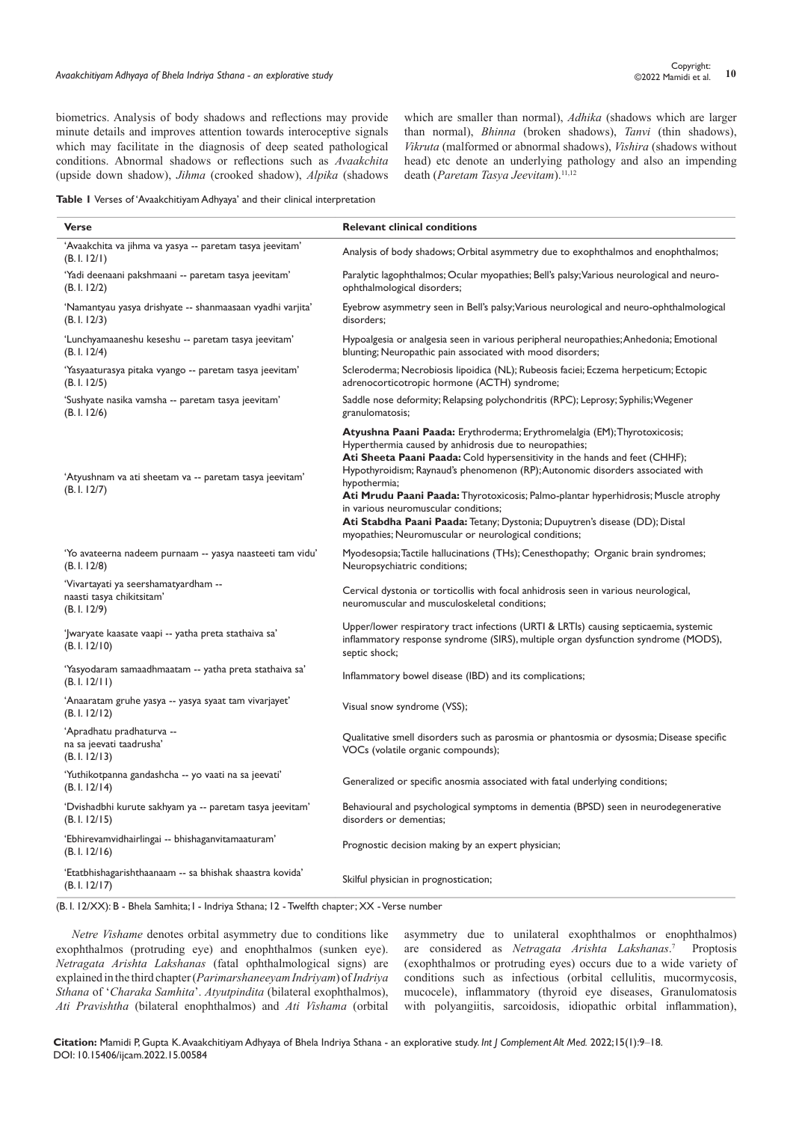biometrics. Analysis of body shadows and reflections may provide minute details and improves attention towards interoceptive signals which may facilitate in the diagnosis of deep seated pathological conditions. Abnormal shadows or reflections such as *Avaakchita* (upside down shadow), *Jihma* (crooked shadow), *Alpika* (shadows which are smaller than normal), *Adhika* (shadows which are larger than normal), *Bhinna* (broken shadows), *Tanvi* (thin shadows), *Vikruta* (malformed or abnormal shadows), *Vishira* (shadows without head) etc denote an underlying pathology and also an impending death (Paretam Tasya Jeevitam).<sup>11,12</sup>

**Table 1** Verses of 'Avaakchitiyam Adhyaya' and their clinical interpretation

| <b>Verse</b>                                                                    | <b>Relevant clinical conditions</b>                                                                                                                                                                                                                                                                                                                                                                                                                                                                                                                                                        |
|---------------------------------------------------------------------------------|--------------------------------------------------------------------------------------------------------------------------------------------------------------------------------------------------------------------------------------------------------------------------------------------------------------------------------------------------------------------------------------------------------------------------------------------------------------------------------------------------------------------------------------------------------------------------------------------|
| 'Avaakchita va jihma va yasya -- paretam tasya jeevitam'<br>(B.1.12/1)          | Analysis of body shadows; Orbital asymmetry due to exophthalmos and enophthalmos;                                                                                                                                                                                                                                                                                                                                                                                                                                                                                                          |
| 'Yadi deenaani pakshmaani -- paretam tasya jeevitam'<br>(B.1.12/2)              | Paralytic lagophthalmos; Ocular myopathies; Bell's palsy; Various neurological and neuro-<br>ophthalmological disorders;                                                                                                                                                                                                                                                                                                                                                                                                                                                                   |
| 'Namantyau yasya drishyate -- shanmaasaan vyadhi varjita'<br>(B.1.12/3)         | Eyebrow asymmetry seen in Bell's palsy; Various neurological and neuro-ophthalmological<br>disorders:                                                                                                                                                                                                                                                                                                                                                                                                                                                                                      |
| 'Lunchyamaaneshu keseshu -- paretam tasya jeevitam'<br>(B.1.12/4)               | Hypoalgesia or analgesia seen in various peripheral neuropathies; Anhedonia; Emotional<br>blunting; Neuropathic pain associated with mood disorders;                                                                                                                                                                                                                                                                                                                                                                                                                                       |
| 'Yasyaaturasya pitaka vyango -- paretam tasya jeevitam'<br>(B.1.12/5)           | Scleroderma; Necrobiosis lipoidica (NL); Rubeosis faciei; Eczema herpeticum; Ectopic<br>adrenocorticotropic hormone (ACTH) syndrome;                                                                                                                                                                                                                                                                                                                                                                                                                                                       |
| 'Sushyate nasika vamsha -- paretam tasya jeevitam'<br>(B.1.12/6)                | Saddle nose deformity; Relapsing polychondritis (RPC); Leprosy; Syphilis; Wegener<br>granulomatosis;                                                                                                                                                                                                                                                                                                                                                                                                                                                                                       |
| 'Atyushnam va ati sheetam va -- paretam tasya jeevitam'<br>(B.1.12/7)           | Atyushna Paani Paada: Erythroderma; Erythromelalgia (EM); Thyrotoxicosis;<br>Hyperthermia caused by anhidrosis due to neuropathies;<br>Ati Sheeta Paani Paada: Cold hypersensitivity in the hands and feet (CHHF);<br>Hypothyroidism; Raynaud's phenomenon (RP); Autonomic disorders associated with<br>hypothermia;<br>Ati Mrudu Paani Paada: Thyrotoxicosis; Palmo-plantar hyperhidrosis; Muscle atrophy<br>in various neuromuscular conditions;<br>Ati Stabdha Paani Paada: Tetany; Dystonia; Dupuytren's disease (DD); Distal<br>myopathies; Neuromuscular or neurological conditions; |
| 'Yo avateerna nadeem purnaam -- yasya naasteeti tam vidu'<br>(B.1.12/8)         | Myodesopsia; Tactile hallucinations (THs); Cenesthopathy; Organic brain syndromes;<br>Neuropsychiatric conditions;                                                                                                                                                                                                                                                                                                                                                                                                                                                                         |
| 'Vivartayati ya seershamatyardham --<br>naasti tasya chikitsitam'<br>(B.1.12/9) | Cervical dystonia or torticollis with focal anhidrosis seen in various neurological,<br>neuromuscular and musculoskeletal conditions;                                                                                                                                                                                                                                                                                                                                                                                                                                                      |
| 'Jwaryate kaasate vaapi -- yatha preta stathaiva sa'<br>(B. I. 12/10)           | Upper/lower respiratory tract infections (URTI & LRTIs) causing septicaemia, systemic<br>inflammatory response syndrome (SIRS), multiple organ dysfunction syndrome (MODS),<br>septic shock;                                                                                                                                                                                                                                                                                                                                                                                               |
| 'Yasyodaram samaadhmaatam -- yatha preta stathaiva sa'<br>(B.1.12/11)           | Inflammatory bowel disease (IBD) and its complications;                                                                                                                                                                                                                                                                                                                                                                                                                                                                                                                                    |
| 'Anaaratam gruhe yasya -- yasya syaat tam vivarjayet'<br>(B. 1. 12/12)          | Visual snow syndrome (VSS);                                                                                                                                                                                                                                                                                                                                                                                                                                                                                                                                                                |
| 'Apradhatu pradhaturva --<br>na sa jeevati taadrusha'<br>(B.1.12/13)            | Qualitative smell disorders such as parosmia or phantosmia or dysosmia; Disease specific<br>VOCs (volatile organic compounds);                                                                                                                                                                                                                                                                                                                                                                                                                                                             |
| 'Yuthikotpanna gandashcha -- yo vaati na sa jeevati'<br>(B.1.12/14)             | Generalized or specific anosmia associated with fatal underlying conditions;                                                                                                                                                                                                                                                                                                                                                                                                                                                                                                               |
| 'Dvishadbhi kurute sakhyam ya -- paretam tasya jeevitam'<br>(B.1.12/15)         | Behavioural and psychological symptoms in dementia (BPSD) seen in neurodegenerative<br>disorders or dementias;                                                                                                                                                                                                                                                                                                                                                                                                                                                                             |
| 'Ebhirevamvidhairlingai -- bhishaganvitamaaturam'<br>(B.1.12/16)                | Prognostic decision making by an expert physician;                                                                                                                                                                                                                                                                                                                                                                                                                                                                                                                                         |
| 'Etatbhishagarishthaanaam -- sa bhishak shaastra kovida'<br>(B.1.12/17)         | Skilful physician in prognostication;                                                                                                                                                                                                                                                                                                                                                                                                                                                                                                                                                      |

(B. I. 12/XX): B - Bhela Samhita; I - Indriya Sthana; 12 - Twelfth chapter; XX - Verse number

*Netre Vishame* denotes orbital asymmetry due to conditions like exophthalmos (protruding eye) and enophthalmos (sunken eye). *Netragata Arishta Lakshanas* (fatal ophthalmological signs) are explained in the third chapter (*Parimarshaneeyam Indriyam*) of *Indriya Sthana* of '*Charaka Samhita*'. *Atyutpindita* (bilateral exophthalmos), *Ati Pravishtha* (bilateral enophthalmos) and *Ati Vishama* (orbital asymmetry due to unilateral exophthalmos or enophthalmos) are considered as *Netragata Arishta Lakshanas*.<sup>7</sup> Proptosis (exophthalmos or protruding eyes) occurs due to a wide variety of conditions such as infectious (orbital cellulitis, mucormycosis, mucocele), inflammatory (thyroid eye diseases, Granulomatosis with polyangiitis, sarcoidosis, idiopathic orbital inflammation),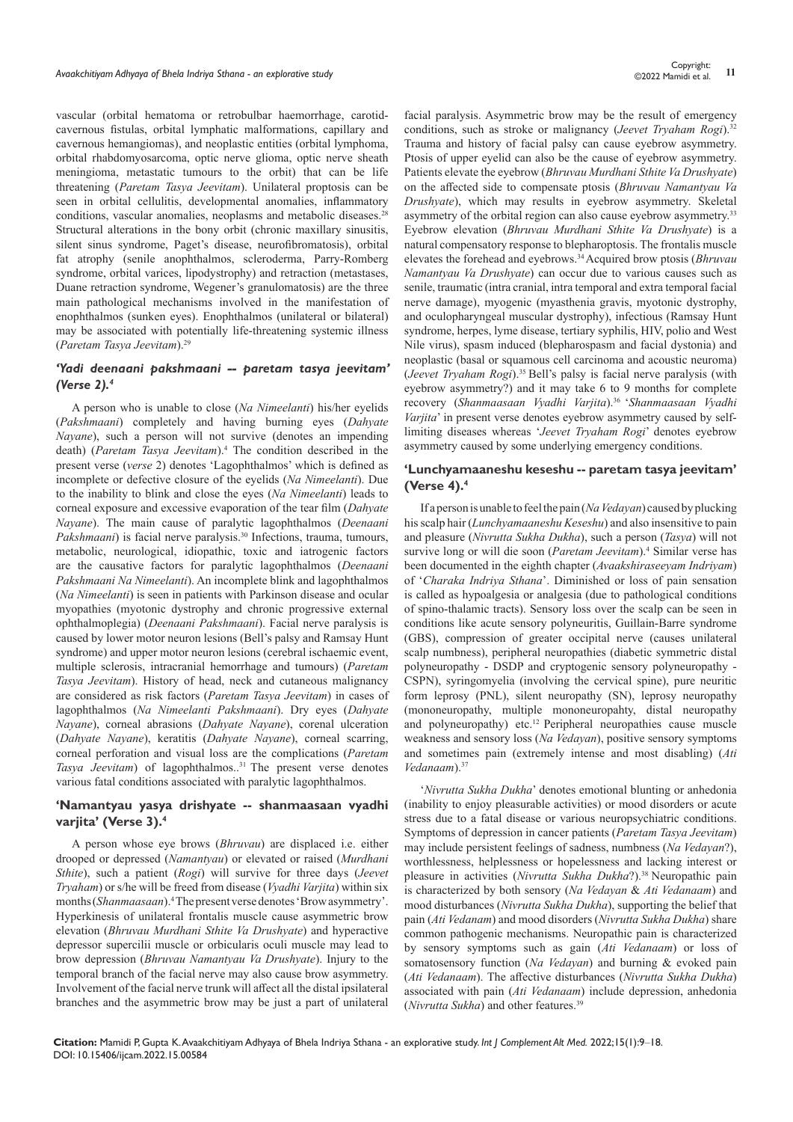vascular (orbital hematoma or retrobulbar haemorrhage, carotidcavernous fistulas, orbital lymphatic malformations, capillary and cavernous hemangiomas), and neoplastic entities (orbital lymphoma, orbital rhabdomyosarcoma, optic nerve glioma, optic nerve sheath meningioma, metastatic tumours to the orbit) that can be life threatening (*Paretam Tasya Jeevitam*). Unilateral proptosis can be seen in orbital cellulitis, developmental anomalies, inflammatory conditions, vascular anomalies, neoplasms and metabolic diseases.<sup>28</sup> Structural alterations in the bony orbit (chronic maxillary sinusitis, silent sinus syndrome, Paget's disease, neurofibromatosis), orbital fat atrophy (senile anophthalmos, scleroderma, Parry-Romberg syndrome, orbital varices, lipodystrophy) and retraction (metastases, Duane retraction syndrome, Wegener's granulomatosis) are the three main pathological mechanisms involved in the manifestation of enophthalmos (sunken eyes). Enophthalmos (unilateral or bilateral) may be associated with potentially life-threatening systemic illness (*Paretam Tasya Jeevitam*).<sup>29</sup>

## *'Yadi deenaani pakshmaani -- paretam tasya jeevitam' (Verse 2).4*

A person who is unable to close (*Na Nimeelanti*) his/her eyelids (*Pakshmaani*) completely and having burning eyes (*Dahyate Nayane*), such a person will not survive (denotes an impending death) (*Paretam Tasya Jeevitam*).<sup>4</sup> The condition described in the present verse (*verse* 2) denotes 'Lagophthalmos' which is defined as incomplete or defective closure of the eyelids (*Na Nimeelanti*). Due to the inability to blink and close the eyes (*Na Nimeelanti*) leads to corneal exposure and excessive evaporation of the tear film (*Dahyate Nayane*). The main cause of paralytic lagophthalmos (*Deenaani Pakshmaani*) is facial nerve paralysis.<sup>30</sup> Infections, trauma, tumours, metabolic, neurological, idiopathic, toxic and iatrogenic factors are the causative factors for paralytic lagophthalmos (*Deenaani Pakshmaani Na Nimeelanti*). An incomplete blink and lagophthalmos (*Na Nimeelanti*) is seen in patients with Parkinson disease and ocular myopathies (myotonic dystrophy and chronic progressive external ophthalmoplegia) (*Deenaani Pakshmaani*). Facial nerve paralysis is caused by lower motor neuron lesions (Bell's palsy and Ramsay Hunt syndrome) and upper motor neuron lesions (cerebral ischaemic event, multiple sclerosis, intracranial hemorrhage and tumours) (*Paretam Tasya Jeevitam*). History of head, neck and cutaneous malignancy are considered as risk factors (*Paretam Tasya Jeevitam*) in cases of lagophthalmos (*Na Nimeelanti Pakshmaani*). Dry eyes (*Dahyate Nayane*), corneal abrasions (*Dahyate Nayane*), corenal ulceration (*Dahyate Nayane*), keratitis (*Dahyate Nayane*), corneal scarring, corneal perforation and visual loss are the complications (*Paretam Tasya Jeevitam*) of lagophthalmos..<sup>31</sup> The present verse denotes various fatal conditions associated with paralytic lagophthalmos.

#### **'Namantyau yasya drishyate -- shanmaasaan vyadhi varjita' (Verse 3).4**

A person whose eye brows (*Bhruvau*) are displaced i.e. either drooped or depressed (*Namantyau*) or elevated or raised (*Murdhani Sthite*), such a patient (*Rogi*) will survive for three days (*Jeevet Tryaham*) or s/he will be freed from disease (*Vyadhi Varjita*) within six months (*Shanmaasaan*).<sup>4</sup> The present verse denotes 'Brow asymmetry'. Hyperkinesis of unilateral frontalis muscle cause asymmetric brow elevation (*Bhruvau Murdhani Sthite Va Drushyate*) and hyperactive depressor supercilii muscle or orbicularis oculi muscle may lead to brow depression (*Bhruvau Namantyau Va Drushyate*). Injury to the temporal branch of the facial nerve may also cause brow asymmetry. Involvement of the facial nerve trunk will affect all the distal ipsilateral branches and the asymmetric brow may be just a part of unilateral

facial paralysis. Asymmetric brow may be the result of emergency conditions, such as stroke or malignancy (*Jeevet Tryaham Rogi*).<sup>32</sup> Trauma and history of facial palsy can cause eyebrow asymmetry. Ptosis of upper eyelid can also be the cause of eyebrow asymmetry. Patients elevate the eyebrow (*Bhruvau Murdhani Sthite Va Drushyate*) on the affected side to compensate ptosis (*Bhruvau Namantyau Va Drushyate*), which may results in eyebrow asymmetry. Skeletal asymmetry of the orbital region can also cause eyebrow asymmetry.<sup>33</sup> Eyebrow elevation (*Bhruvau Murdhani Sthite Va Drushyate*) is a natural compensatory response to blepharoptosis. The frontalis muscle elevates the forehead and eyebrows.<sup>34</sup>Acquired brow ptosis (*Bhruvau Namantyau Va Drushyate*) can occur due to various causes such as senile, traumatic (intra cranial, intra temporal and extra temporal facial nerve damage), myogenic (myasthenia gravis, myotonic dystrophy, and oculopharyngeal muscular dystrophy), infectious (Ramsay Hunt syndrome, herpes, lyme disease, tertiary syphilis, HIV, polio and West Nile virus), spasm induced (blepharospasm and facial dystonia) and neoplastic (basal or squamous cell carcinoma and acoustic neuroma) (*Jeevet Tryaham Rogi*).35 Bell's palsy is facial nerve paralysis (with eyebrow asymmetry?) and it may take 6 to 9 months for complete recovery (*Shanmaasaan Vyadhi Varjita*).36 '*Shanmaasaan Vyadhi Varjita*' in present verse denotes eyebrow asymmetry caused by selflimiting diseases whereas '*Jeevet Tryaham Rogi*' denotes eyebrow asymmetry caused by some underlying emergency conditions.

## **'Lunchyamaaneshu keseshu -- paretam tasya jeevitam' (Verse 4).4**

If a person is unable to feel the pain (*Na Vedayan*) caused by plucking his scalp hair (*Lunchyamaaneshu Keseshu*) and also insensitive to pain and pleasure (*Nivrutta Sukha Dukha*), such a person (*Tasya*) will not survive long or will die soon (Paretam Jeevitam).<sup>4</sup> Similar verse has been documented in the eighth chapter (*Avaakshiraseeyam Indriyam*) of '*Charaka Indriya Sthana*'. Diminished or loss of pain sensation is called as hypoalgesia or analgesia (due to pathological conditions of spino-thalamic tracts). Sensory loss over the scalp can be seen in conditions like acute sensory polyneuritis, Guillain-Barre syndrome (GBS), compression of greater occipital nerve (causes unilateral scalp numbness), peripheral neuropathies (diabetic symmetric distal polyneuropathy - DSDP and cryptogenic sensory polyneuropathy - CSPN), syringomyelia (involving the cervical spine), pure neuritic form leprosy (PNL), silent neuropathy (SN), leprosy neuropathy (mononeuropathy, multiple mononeuropahty, distal neuropathy and polyneuropathy) etc.<sup>12</sup> Peripheral neuropathies cause muscle weakness and sensory loss (*Na Vedayan*), positive sensory symptoms and sometimes pain (extremely intense and most disabling) (*Ati Vedanaam*).<sup>37</sup>

'*Nivrutta Sukha Dukha*' denotes emotional blunting or anhedonia (inability to enjoy pleasurable activities) or mood disorders or acute stress due to a fatal disease or various neuropsychiatric conditions. Symptoms of depression in cancer patients (*Paretam Tasya Jeevitam*) may include persistent feelings of sadness, numbness (*Na Vedayan*?), worthlessness, helplessness or hopelessness and lacking interest or pleasure in activities (Nivrutta Sukha Dukha?).<sup>38</sup> Neuropathic pain is characterized by both sensory (*Na Vedayan* & *Ati Vedanaam*) and mood disturbances (*Nivrutta Sukha Dukha*), supporting the belief that pain (*Ati Vedanam*) and mood disorders (*Nivrutta Sukha Dukha*) share common pathogenic mechanisms. Neuropathic pain is characterized by sensory symptoms such as gain (*Ati Vedanaam*) or loss of somatosensory function (*Na Vedayan*) and burning & evoked pain (*Ati Vedanaam*). The affective disturbances (*Nivrutta Sukha Dukha*) associated with pain (*Ati Vedanaam*) include depression, anhedonia (*Nivrutta Sukha*) and other features.39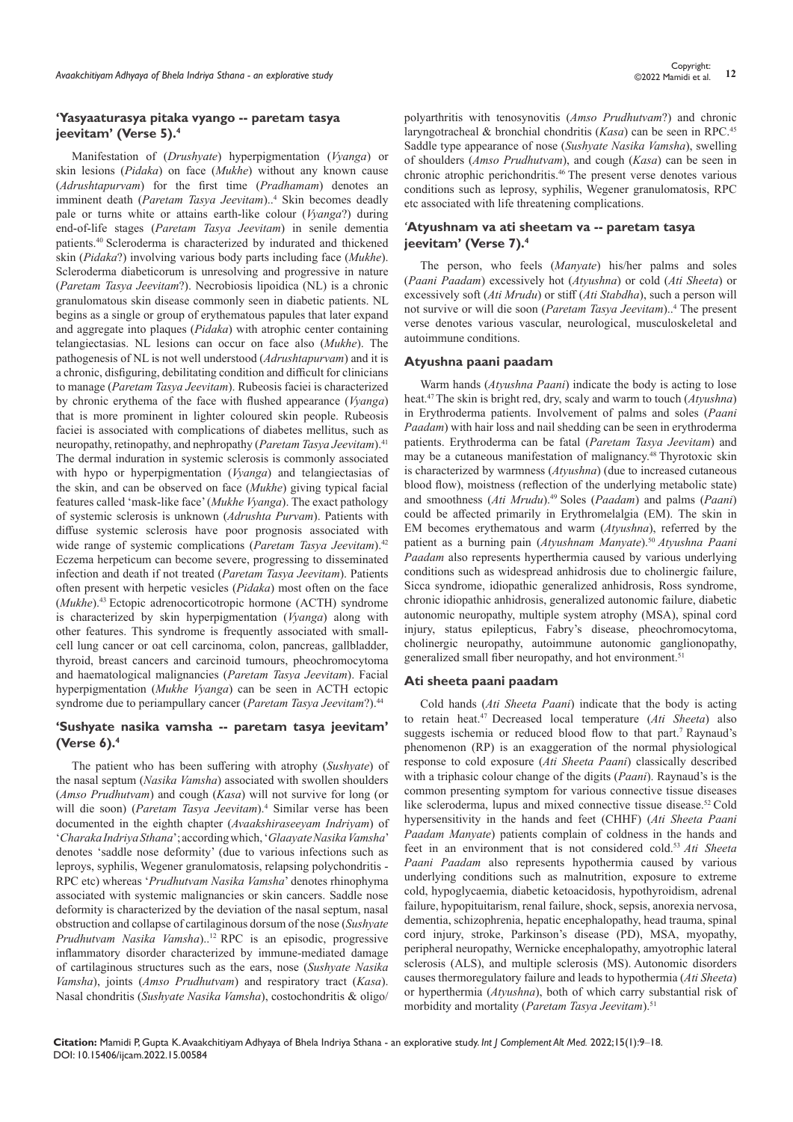## **'Yasyaaturasya pitaka vyango -- paretam tasya jeevitam' (Verse 5).4**

Manifestation of (*Drushyate*) hyperpigmentation (*Vyanga*) or skin lesions (*Pidaka*) on face (*Mukhe*) without any known cause (*Adrushtapurvam*) for the first time (*Pradhamam*) denotes an imminent death (Paretam Tasya Jeevitam)..<sup>4</sup> Skin becomes deadly pale or turns white or attains earth-like colour (*Vyanga*?) during end-of-life stages (*Paretam Tasya Jeevitam*) in senile dementia patients.<sup>40</sup> Scleroderma is characterized by indurated and thickened skin (*Pidaka*?) involving various body parts including face (*Mukhe*). Scleroderma diabeticorum is unresolving and progressive in nature (*Paretam Tasya Jeevitam*?). Necrobiosis lipoidica (NL) is a chronic granulomatous skin disease commonly seen in diabetic patients. NL begins as a single or group of erythematous papules that later expand and aggregate into plaques (*Pidaka*) with atrophic center containing telangiectasias. NL lesions can occur on face also (*Mukhe*). The pathogenesis of NL is not well understood (*Adrushtapurvam*) and it is a chronic, disfiguring, debilitating condition and difficult for clinicians to manage (*Paretam Tasya Jeevitam*). Rubeosis faciei is characterized by chronic erythema of the face with flushed appearance (*Vyanga*) that is more prominent in lighter coloured skin people. Rubeosis faciei is associated with complications of diabetes mellitus, such as neuropathy, retinopathy, and nephropathy (*Paretam Tasya Jeevitam*).<sup>41</sup> The dermal induration in systemic sclerosis is commonly associated with hypo or hyperpigmentation (*Vyanga*) and telangiectasias of the skin, and can be observed on face (*Mukhe*) giving typical facial features called 'mask-like face' (*Mukhe Vyanga*). The exact pathology of systemic sclerosis is unknown (*Adrushta Purvam*). Patients with diffuse systemic sclerosis have poor prognosis associated with wide range of systemic complications (*Paretam Tasya Jeevitam*).<sup>42</sup> Eczema herpeticum can become severe, progressing to disseminated infection and death if not treated (*Paretam Tasya Jeevitam*). Patients often present with herpetic vesicles (*Pidaka*) most often on the face (*Mukhe*).<sup>43</sup>Ectopic adrenocorticotropic hormone (ACTH) syndrome is characterized by skin hyperpigmentation (*Vyanga*) along with other features. This syndrome is frequently associated with smallcell lung cancer or oat cell carcinoma, colon, pancreas, gallbladder, thyroid, breast cancers and carcinoid tumours, pheochromocytoma and haematological malignancies (*Paretam Tasya Jeevitam*). Facial hyperpigmentation (*Mukhe Vyanga*) can be seen in ACTH ectopic syndrome due to periampullary cancer (*Paretam Tasya Jeevitam*?).<sup>44</sup>

## **'Sushyate nasika vamsha -- paretam tasya jeevitam' (Verse 6).4**

The patient who has been suffering with atrophy (*Sushyate*) of the nasal septum (*Nasika Vamsha*) associated with swollen shoulders (*Amso Prudhutvam*) and cough (*Kasa*) will not survive for long (or will die soon) (*Paretam Tasya Jeevitam*).<sup>4</sup> Similar verse has been documented in the eighth chapter (*Avaakshiraseeyam Indriyam*) of '*Charaka Indriya Sthana*'; according which, '*Glaayate Nasika Vamsha*' denotes 'saddle nose deformity' (due to various infections such as leproys, syphilis, Wegener granulomatosis, relapsing polychondritis - RPC etc) whereas '*Prudhutvam Nasika Vamsha*' denotes rhinophyma associated with systemic malignancies or skin cancers. Saddle nose deformity is characterized by the deviation of the nasal septum, nasal obstruction and collapse of cartilaginous dorsum of the nose (*Sushyate Prudhutvam Nasika Vamsha*)..<sup>12</sup>RPC is an episodic, progressive inflammatory disorder characterized by immune-mediated damage of cartilaginous structures such as the ears, nose (*Sushyate Nasika Vamsha*), joints (*Amso Prudhutvam*) and respiratory tract (*Kasa*). Nasal chondritis (*Sushyate Nasika Vamsha*), costochondritis & oligo/

polyarthritis with tenosynovitis (*Amso Prudhutvam*?) and chronic laryngotracheal & bronchial chondritis (*Kasa*) can be seen in RPC.<sup>45</sup> Saddle type appearance of nose (*Sushyate Nasika Vamsha*), swelling of shoulders (*Amso Prudhutvam*), and cough (*Kasa*) can be seen in chronic atrophic perichondritis.<sup>46</sup> The present verse denotes various conditions such as leprosy, syphilis, Wegener granulomatosis, RPC etc associated with life threatening complications.

## *'***Atyushnam va ati sheetam va -- paretam tasya jeevitam' (Verse 7).4**

The person, who feels (*Manyate*) his/her palms and soles (*Paani Paadam*) excessively hot (*Atyushna*) or cold (*Ati Sheeta*) or excessively soft (*Ati Mrudu*) or stiff (*Ati Stabdha*), such a person will not survive or will die soon (*Paretam Tasya Jeevitam*)..<sup>4</sup> The present verse denotes various vascular, neurological, musculoskeletal and autoimmune conditions.

#### **Atyushna paani paadam**

Warm hands (*Atyushna Paani*) indicate the body is acting to lose heat.<sup>47</sup>The skin is bright red, dry, scaly and warm to touch (*Atyushna*) in Erythroderma patients. Involvement of palms and soles (*Paani Paadam*) with hair loss and nail shedding can be seen in erythroderma patients. Erythroderma can be fatal (*Paretam Tasya Jeevitam*) and may be a cutaneous manifestation of malignancy.<sup>48</sup>Thyrotoxic skin is characterized by warmness (*Atyushna*) (due to increased cutaneous blood flow), moistness (reflection of the underlying metabolic state) and smoothness (Ati Mrudu).<sup>49</sup> Soles (*Paadam*) and palms (*Paani*) could be affected primarily in Erythromelalgia (EM). The skin in EM becomes erythematous and warm (*Atyushna*), referred by the patient as a burning pain (*Atyushnam Manyate*).<sup>50</sup>*Atyushna Paani Paadam* also represents hyperthermia caused by various underlying conditions such as widespread anhidrosis due to cholinergic failure, Sicca syndrome, idiopathic generalized anhidrosis, Ross syndrome, chronic idiopathic anhidrosis, generalized autonomic failure, diabetic autonomic neuropathy, multiple system atrophy (MSA), spinal cord injury, status epilepticus, Fabry's disease, pheochromocytoma, cholinergic neuropathy, autoimmune autonomic ganglionopathy, generalized small fiber neuropathy, and hot environment.<sup>51</sup>

#### **Ati sheeta paani paadam**

Cold hands (*Ati Sheeta Paani*) indicate that the body is acting to retain heat.47 Decreased local temperature (*Ati Sheeta*) also suggests ischemia or reduced blood flow to that part.<sup>7</sup> Raynaud's phenomenon (RP) is an exaggeration of the normal physiological response to cold exposure (*Ati Sheeta Paani*) classically described with a triphasic colour change of the digits (*Paani*). Raynaud's is the common presenting symptom for various connective tissue diseases like scleroderma, lupus and mixed connective tissue disease.52 Cold hypersensitivity in the hands and feet (CHHF) (*Ati Sheeta Paani Paadam Manyate*) patients complain of coldness in the hands and feet in an environment that is not considered cold.<sup>53</sup>*Ati Sheeta Paani Paadam* also represents hypothermia caused by various underlying conditions such as malnutrition, exposure to extreme cold, hypoglycaemia, diabetic ketoacidosis, hypothyroidism, adrenal failure, hypopituitarism, renal failure, shock, sepsis, anorexia nervosa, dementia, schizophrenia, hepatic encephalopathy, head trauma, spinal cord injury, stroke, Parkinson's disease (PD), MSA, myopathy, peripheral neuropathy, Wernicke encephalopathy, amyotrophic lateral sclerosis (ALS), and multiple sclerosis (MS). Autonomic disorders causes thermoregulatory failure and leads to hypothermia (*Ati Sheeta*) or hyperthermia (*Atyushna*), both of which carry substantial risk of morbidity and mortality (*Paretam Tasya Jeevitam*).<sup>51</sup>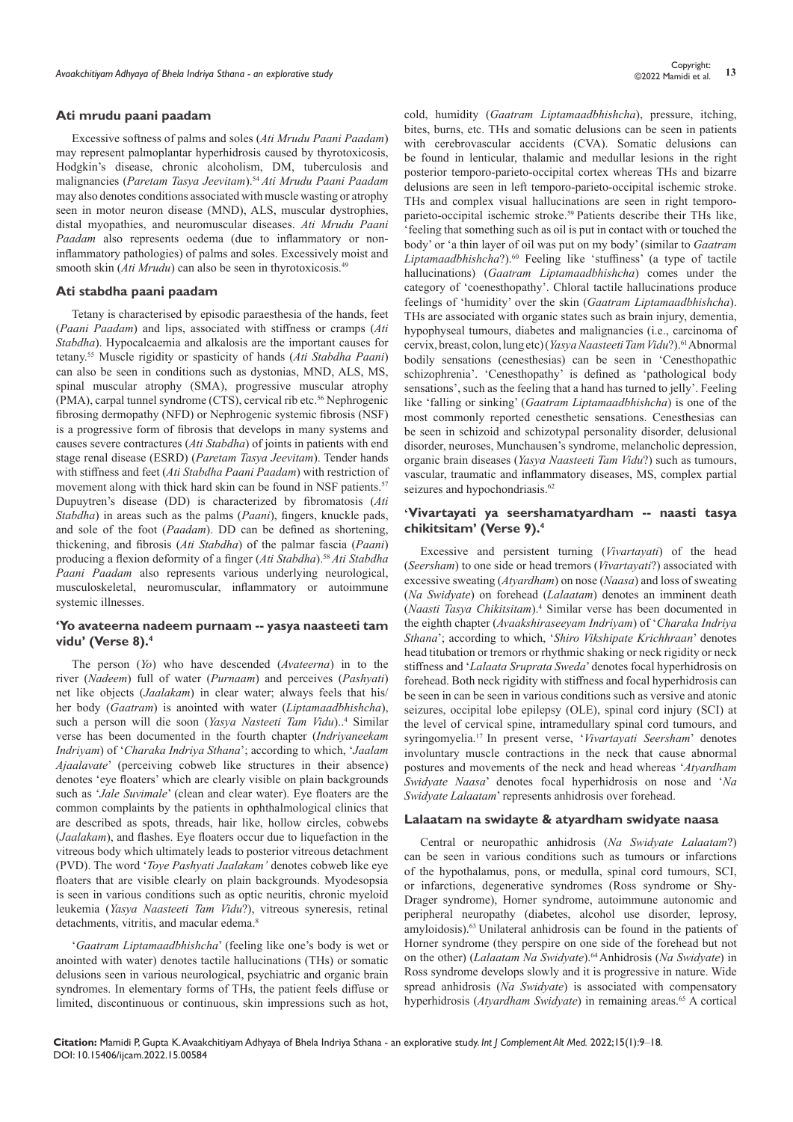#### **Ati mrudu paani paadam**

Excessive softness of palms and soles (*Ati Mrudu Paani Paadam*) may represent palmoplantar hyperhidrosis caused by thyrotoxicosis, Hodgkin's disease, chronic alcoholism, DM, tuberculosis and malignancies (*Paretam Tasya Jeevitam*).<sup>54</sup>*Ati Mrudu Paani Paadam* may also denotes conditions associated with muscle wasting or atrophy seen in motor neuron disease (MND), ALS, muscular dystrophies, distal myopathies, and neuromuscular diseases. *Ati Mrudu Paani Paadam* also represents oedema (due to inflammatory or noninflammatory pathologies) of palms and soles. Excessively moist and smooth skin (*Ati Mrudu*) can also be seen in thyrotoxicosis.<sup>49</sup>

#### **Ati stabdha paani paadam**

Tetany is characterised by episodic paraesthesia of the hands, feet (*Paani Paadam*) and lips, associated with stiffness or cramps (*Ati Stabdha*). Hypocalcaemia and alkalosis are the important causes for tetany.55 Muscle rigidity or spasticity of hands (*Ati Stabdha Paani*) can also be seen in conditions such as dystonias, MND, ALS, MS, spinal muscular atrophy (SMA), progressive muscular atrophy (PMA), carpal tunnel syndrome (CTS), cervical rib etc.<sup>56</sup> Nephrogenic fibrosing dermopathy (NFD) or Nephrogenic systemic fibrosis (NSF) is a progressive form of fibrosis that develops in many systems and causes severe contractures (*Ati Stabdha*) of joints in patients with end stage renal disease (ESRD) (*Paretam Tasya Jeevitam*). Tender hands with stiffness and feet (*Ati Stabdha Paani Paadam*) with restriction of movement along with thick hard skin can be found in NSF patients.<sup>57</sup> Dupuytren's disease (DD) is characterized by fibromatosis (*Ati Stabdha*) in areas such as the palms (*Paani*), fingers, knuckle pads, and sole of the foot (*Paadam*). DD can be defined as shortening, thickening, and fibrosis (*Ati Stabdha*) of the palmar fascia (*Paani*) producing a flexion deformity of a finger (*Ati Stabdha*).<sup>58</sup>*Ati Stabdha Paani Paadam* also represents various underlying neurological, musculoskeletal, neuromuscular, inflammatory or autoimmune systemic illnesses.

#### **'Yo avateerna nadeem purnaam -- yasya naasteeti tam vidu' (Verse 8).4**

The person (*Yo*) who have descended (*Avateerna*) in to the river (*Nadeem*) full of water (*Purnaam*) and perceives (*Pashyati*) net like objects (*Jaalakam*) in clear water; always feels that his/ her body (*Gaatram*) is anointed with water (*Liptamaadbhishcha*), such a person will die soon (*Yasya Nasteeti Tam Vidu*)..<sup>4</sup> Similar verse has been documented in the fourth chapter (*Indriyaneekam Indriyam*) of '*Charaka Indriya Sthana*'; according to which, '*Jaalam Ajaalavate*' (perceiving cobweb like structures in their absence) denotes 'eye floaters' which are clearly visible on plain backgrounds such as '*Jale Suvimale*' (clean and clear water). Eye floaters are the common complaints by the patients in ophthalmological clinics that are described as spots, threads, hair like, hollow circles, cobwebs (*Jaalakam*), and flashes. Eye floaters occur due to liquefaction in the vitreous body which ultimately leads to posterior vitreous detachment (PVD). The word '*Toye Pashyati Jaalakam'* denotes cobweb like eye floaters that are visible clearly on plain backgrounds. Myodesopsia is seen in various conditions such as optic neuritis, chronic myeloid leukemia (*Yasya Naasteeti Tam Vidu*?), vitreous syneresis, retinal detachments, vitritis, and macular edema.<sup>8</sup>

'*Gaatram Liptamaadbhishcha*' (feeling like one's body is wet or anointed with water) denotes tactile hallucinations (THs) or somatic delusions seen in various neurological, psychiatric and organic brain syndromes. In elementary forms of THs, the patient feels diffuse or limited, discontinuous or continuous, skin impressions such as hot,

cold, humidity (*Gaatram Liptamaadbhishcha*), pressure, itching, bites, burns, etc. THs and somatic delusions can be seen in patients with cerebrovascular accidents (CVA). Somatic delusions can be found in lenticular, thalamic and medullar lesions in the right posterior temporo-parieto-occipital cortex whereas THs and bizarre delusions are seen in left temporo-parieto-occipital ischemic stroke. THs and complex visual hallucinations are seen in right temporoparieto-occipital ischemic stroke.<sup>59</sup> Patients describe their THs like, 'feeling that something such as oil is put in contact with or touched the body' or 'a thin layer of oil was put on my body' (similar to *Gaatram*  Liptamaadbhishcha?).<sup>60</sup> Feeling like 'stuffiness' (a type of tactile hallucinations) (*Gaatram Liptamaadbhishcha*) comes under the category of 'coenesthopathy'. Chloral tactile hallucinations produce feelings of 'humidity' over the skin (*Gaatram Liptamaadbhishcha*). THs are associated with organic states such as brain injury, dementia, hypophyseal tumours, diabetes and malignancies (i.e., carcinoma of cervix, breast, colon, lung etc) (*Yasya Naasteeti Tam Vidu*?).<sup>61</sup> Abnormal bodily sensations (cenesthesias) can be seen in 'Cenesthopathic schizophrenia'. 'Cenesthopathy' is defined as 'pathological body sensations', such as the feeling that a hand has turned to jelly'. Feeling like 'falling or sinking' (*Gaatram Liptamaadbhishcha*) is one of the most commonly reported cenesthetic sensations. Cenesthesias can be seen in schizoid and schizotypal personality disorder, delusional disorder, neuroses, Munchausen's syndrome, melancholic depression, organic brain diseases (*Yasya Naasteeti Tam Vidu*?) such as tumours, vascular, traumatic and inflammatory diseases, MS, complex partial seizures and hypochondriasis.<sup>62</sup>

### **'Vivartayati ya seershamatyardham -- naasti tasya chikitsitam' (Verse 9).4**

Excessive and persistent turning (*Vivartayati*) of the head (*Seersham*) to one side or head tremors (*Vivartayati*?) associated with excessive sweating (*Atyardham*) on nose (*Naasa*) and loss of sweating (*Na Swidyate*) on forehead (*Lalaatam*) denotes an imminent death (*Naasti Tasya Chikitsitam*).<sup>4</sup> Similar verse has been documented in the eighth chapter (*Avaakshiraseeyam Indriyam*) of '*Charaka Indriya Sthana*'; according to which, '*Shiro Vikshipate Krichhraan*' denotes head titubation or tremors or rhythmic shaking or neck rigidity or neck stiffness and '*Lalaata Sruprata Sweda*' denotes focal hyperhidrosis on forehead. Both neck rigidity with stiffness and focal hyperhidrosis can be seen in can be seen in various conditions such as versive and atonic seizures, occipital lobe epilepsy (OLE), spinal cord injury (SCI) at the level of cervical spine, intramedullary spinal cord tumours, and syringomyelia.<sup>17</sup>In present verse, '*Vivartayati Seersham*' denotes involuntary muscle contractions in the neck that cause abnormal postures and movements of the neck and head whereas '*Atyardham Swidyate Naasa*' denotes focal hyperhidrosis on nose and '*Na Swidyate Lalaatam*' represents anhidrosis over forehead.

#### **Lalaatam na swidayte & atyardham swidyate naasa**

Central or neuropathic anhidrosis (*Na Swidyate Lalaatam*?) can be seen in various conditions such as tumours or infarctions of the hypothalamus, pons, or medulla, spinal cord tumours, SCI, or infarctions, degenerative syndromes (Ross syndrome or Shy-Drager syndrome), Horner syndrome, autoimmune autonomic and peripheral neuropathy (diabetes, alcohol use disorder, leprosy, amyloidosis).<sup>63</sup>Unilateral anhidrosis can be found in the patients of Horner syndrome (they perspire on one side of the forehead but not on the other) (*Lalaatam Na Swidyate*).<sup>64</sup> Anhidrosis (*Na Swidyate*) in Ross syndrome develops slowly and it is progressive in nature. Wide spread anhidrosis (*Na Swidyate*) is associated with compensatory hyperhidrosis (*Atyardham Swidyate*) in remaining areas.<sup>65</sup> A cortical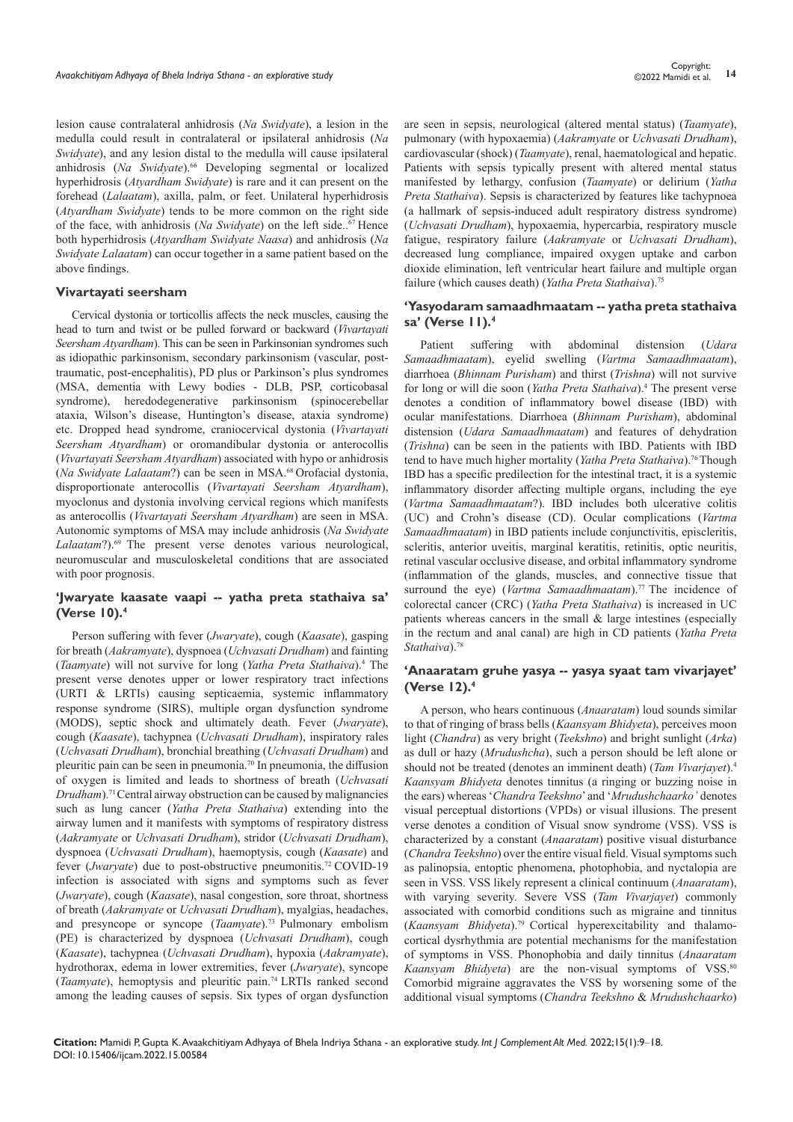lesion cause contralateral anhidrosis (*Na Swidyate*), a lesion in the medulla could result in contralateral or ipsilateral anhidrosis (*Na Swidyate*), and any lesion distal to the medulla will cause ipsilateral anhidrosis (Na Swidyate).<sup>66</sup> Developing segmental or localized hyperhidrosis (*Atyardham Swidyate*) is rare and it can present on the forehead (*Lalaatam*), axilla, palm, or feet. Unilateral hyperhidrosis (*Atyardham Swidyate*) tends to be more common on the right side of the face, with anhidrosis (*Na Swidyate*) on the left side..<sup>67</sup> Hence both hyperhidrosis (*Atyardham Swidyate Naasa*) and anhidrosis (*Na Swidyate Lalaatam*) can occur together in a same patient based on the above findings.

#### **Vivartayati seersham**

Cervical dystonia or torticollis affects the neck muscles, causing the head to turn and twist or be pulled forward or backward (*Vivartayati Seersham Atyardham*). This can be seen in Parkinsonian syndromes such as idiopathic parkinsonism, secondary parkinsonism (vascular, posttraumatic, post-encephalitis), PD plus or Parkinson's plus syndromes (MSA, dementia with Lewy bodies - DLB, PSP, corticobasal syndrome), heredodegenerative parkinsonism (spinocerebellar ataxia, Wilson's disease, Huntington's disease, ataxia syndrome) etc. Dropped head syndrome, craniocervical dystonia (*Vivartayati Seersham Atyardham*) or oromandibular dystonia or anterocollis (*Vivartayati Seersham Atyardham*) associated with hypo or anhidrosis (*Na Swidyate Lalaatam*?) can be seen in MSA.<sup>68</sup>Orofacial dystonia, disproportionate anterocollis (*Vivartayati Seersham Atyardham*), myoclonus and dystonia involving cervical regions which manifests as anterocollis (*Vivartayati Seersham Atyardham*) are seen in MSA. Autonomic symptoms of MSA may include anhidrosis (*Na Swidyate*  Lalaatam?).<sup>69</sup> The present verse denotes various neurological, neuromuscular and musculoskeletal conditions that are associated with poor prognosis.

## **'Jwaryate kaasate vaapi -- yatha preta stathaiva sa' (Verse 10).4**

Person suffering with fever (*Jwaryate*), cough (*Kaasate*), gasping for breath (*Aakramyate*), dyspnoea (*Uchvasati Drudham*) and fainting (*Taamyate*) will not survive for long (*Yatha Preta Stathaiva*).<sup>4</sup> The present verse denotes upper or lower respiratory tract infections (URTI & LRTIs) causing septicaemia, systemic inflammatory response syndrome (SIRS), multiple organ dysfunction syndrome (MODS), septic shock and ultimately death. Fever (*Jwaryate*), cough (*Kaasate*), tachypnea (*Uchvasati Drudham*), inspiratory rales (*Uchvasati Drudham*), bronchial breathing (*Uchvasati Drudham*) and pleuritic pain can be seen in pneumonia.<sup>70</sup> In pneumonia, the diffusion of oxygen is limited and leads to shortness of breath (*Uchvasati Drudham*).<sup>71</sup> Central airway obstruction can be caused by malignancies such as lung cancer (*Yatha Preta Stathaiva*) extending into the airway lumen and it manifests with symptoms of respiratory distress (*Aakramyate* or *Uchvasati Drudham*), stridor (*Uchvasati Drudham*), dyspnoea (*Uchvasati Drudham*), haemoptysis, cough (*Kaasate*) and fever (*Jwaryate*) due to post-obstructive pneumonitis.<sup>72</sup> COVID-19 infection is associated with signs and symptoms such as fever (*Jwaryate*), cough (*Kaasate*), nasal congestion, sore throat, shortness of breath (*Aakramyate* or *Uchvasati Drudham*), myalgias, headaches, and presyncope or syncope (*Taamyate*).<sup>73</sup> Pulmonary embolism (PE) is characterized by dyspnoea (*Uchvasati Drudham*), cough (*Kaasate*), tachypnea (*Uchvasati Drudham*), hypoxia (*Aakramyate*), hydrothorax, edema in lower extremities, fever (*Jwaryate*), syncope (*Taamyate*), hemoptysis and pleuritic pain.<sup>74</sup>LRTIs ranked second among the leading causes of sepsis. Six types of organ dysfunction

are seen in sepsis, neurological (altered mental status) (*Taamyate*), pulmonary (with hypoxaemia) (*Aakramyate* or *Uchvasati Drudham*), cardiovascular (shock) (*Taamyate*), renal, haematological and hepatic. Patients with sepsis typically present with altered mental status manifested by lethargy, confusion (*Taamyate*) or delirium (*Yatha Preta Stathaiva*). Sepsis is characterized by features like tachypnoea (a hallmark of sepsis-induced adult respiratory distress syndrome) (*Uchvasati Drudham*), hypoxaemia, hypercarbia, respiratory muscle fatigue, respiratory failure (*Aakramyate* or *Uchvasati Drudham*), decreased lung compliance, impaired oxygen uptake and carbon dioxide elimination, left ventricular heart failure and multiple organ failure (which causes death) (*Yatha Preta Stathaiva*).<sup>75</sup>

## **'Yasyodaram samaadhmaatam -- yatha preta stathaiva sa' (Verse 11).4**

Patient suffering with abdominal distension (*Udara Samaadhmaatam*), eyelid swelling (*Vartma Samaadhmaatam*), diarrhoea (*Bhinnam Purisham*) and thirst (*Trishna*) will not survive for long or will die soon (*Yatha Preta Stathaiva*).<sup>4</sup> The present verse denotes a condition of inflammatory bowel disease (IBD) with ocular manifestations. Diarrhoea (*Bhinnam Purisham*), abdominal distension (*Udara Samaadhmaatam*) and features of dehydration (*Trishna*) can be seen in the patients with IBD. Patients with IBD tend to have much higher mortality (*Yatha Preta Stathaiva*).<sup>76</sup> Though IBD has a specific predilection for the intestinal tract, it is a systemic inflammatory disorder affecting multiple organs, including the eye (*Vartma Samaadhmaatam*?). IBD includes both ulcerative colitis (UC) and Crohn's disease (CD). Ocular complications (*Vartma Samaadhmaatam*) in IBD patients include conjunctivitis, episcleritis, scleritis, anterior uveitis, marginal keratitis, retinitis, optic neuritis, retinal vascular occlusive disease, and orbital inflammatory syndrome (inflammation of the glands, muscles, and connective tissue that surround the eye) (*Vartma Samaadhmaatam*).<sup>77</sup> The incidence of colorectal cancer (CRC) (*Yatha Preta Stathaiva*) is increased in UC patients whereas cancers in the small & large intestines (especially in the rectum and anal canal) are high in CD patients (*Yatha Preta Stathaiva*).<sup>78</sup>

## **'Anaaratam gruhe yasya -- yasya syaat tam vivarjayet' (Verse 12).4**

A person, who hears continuous (*Anaaratam*) loud sounds similar to that of ringing of brass bells (*Kaansyam Bhidyeta*), perceives moon light (*Chandra*) as very bright (*Teekshno*) and bright sunlight (*Arka*) as dull or hazy (*Mrudushcha*), such a person should be left alone or should not be treated (denotes an imminent death) (*Tam Vivarjayet*).<sup>4</sup> *Kaansyam Bhidyeta* denotes tinnitus (a ringing or buzzing noise in the ears) whereas '*Chandra Teekshno*' and '*Mrudushchaarko'* denotes visual perceptual distortions (VPDs) or visual illusions. The present verse denotes a condition of Visual snow syndrome (VSS). VSS is characterized by a constant (*Anaaratam*) positive visual disturbance (*Chandra Teekshno*) over the entire visual field. Visual symptoms such as palinopsia, entoptic phenomena, photophobia, and nyctalopia are seen in VSS. VSS likely represent a clinical continuum (*Anaaratam*), with varying severity. Severe VSS (*Tam Vivarjayet*) commonly associated with comorbid conditions such as migraine and tinnitus (*Kaansyam Bhidyeta*).79 Cortical hyperexcitability and thalamocortical dysrhythmia are potential mechanisms for the manifestation of symptoms in VSS. Phonophobia and daily tinnitus (*Anaaratam Kaansyam Bhidyeta*) are the non-visual symptoms of VSS.<sup>80</sup> Comorbid migraine aggravates the VSS by worsening some of the additional visual symptoms (*Chandra Teekshno* & *Mrudushchaarko*)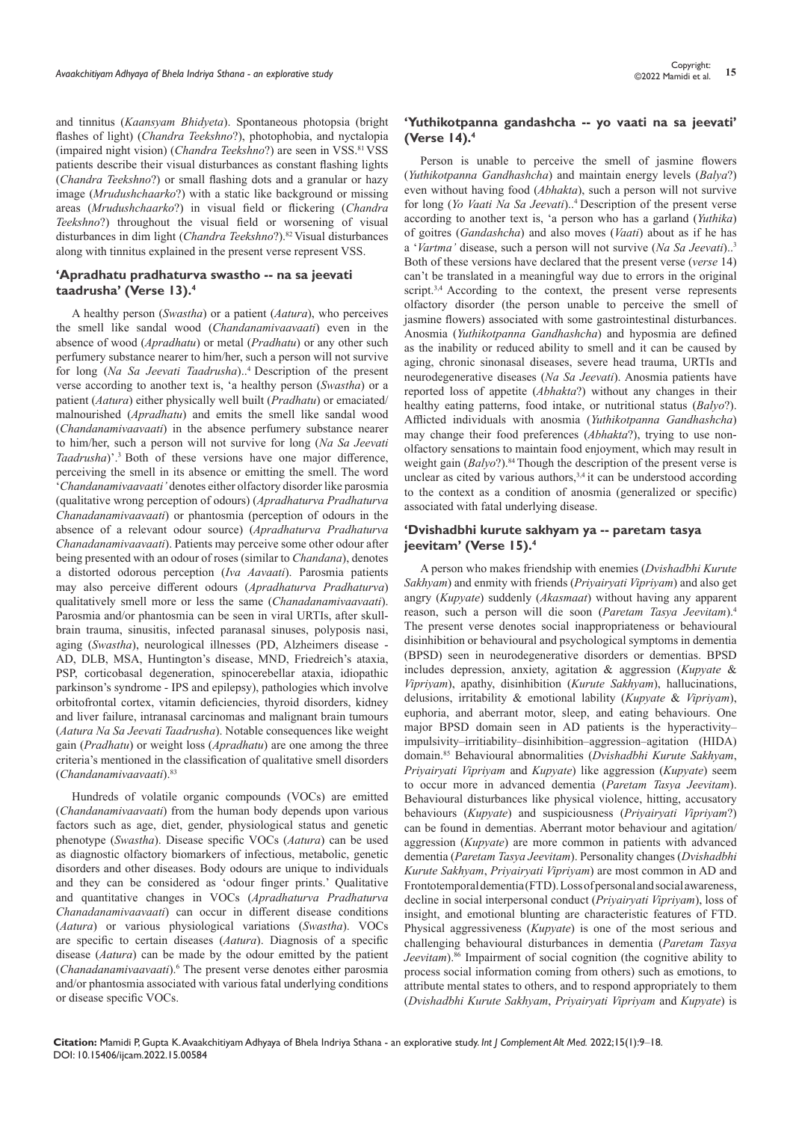and tinnitus (*Kaansyam Bhidyeta*). Spontaneous photopsia (bright flashes of light) (*Chandra Teekshno*?), photophobia, and nyctalopia (impaired night vision) (*Chandra Teekshno*?) are seen in VSS.<sup>81</sup> VSS patients describe their visual disturbances as constant flashing lights (*Chandra Teekshno*?) or small flashing dots and a granular or hazy image (*Mrudushchaarko*?) with a static like background or missing areas (*Mrudushchaarko*?) in visual field or flickering (*Chandra Teekshno*?) throughout the visual field or worsening of visual disturbances in dim light (*Chandra Teekshno*?).<sup>82</sup>Visual disturbances along with tinnitus explained in the present verse represent VSS.

#### **'Apradhatu pradhaturva swastho -- na sa jeevati taadrusha' (Verse 13).4**

A healthy person (*Swastha*) or a patient (*Aatura*), who perceives the smell like sandal wood (*Chandanamivaavaati*) even in the absence of wood (*Apradhatu*) or metal (*Pradhatu*) or any other such perfumery substance nearer to him/her, such a person will not survive for long (*Na Sa Jeevati Taadrusha*)..4 Description of the present verse according to another text is, 'a healthy person (*Swastha*) or a patient (*Aatura*) either physically well built (*Pradhatu*) or emaciated/ malnourished (*Apradhatu*) and emits the smell like sandal wood (*Chandanamivaavaati*) in the absence perfumery substance nearer to him/her, such a person will not survive for long (*Na Sa Jeevati*  Taadrusha)'.<sup>3</sup> Both of these versions have one major difference, perceiving the smell in its absence or emitting the smell. The word '*Chandanamivaavaati'* denotes either olfactory disorder like parosmia (qualitative wrong perception of odours) (*Apradhaturva Pradhaturva Chanadanamivaavaati*) or phantosmia (perception of odours in the absence of a relevant odour source) (*Apradhaturva Pradhaturva Chanadanamivaavaati*). Patients may perceive some other odour after being presented with an odour of roses (similar to *Chandana*), denotes a distorted odorous perception (*Iva Aavaati*). Parosmia patients may also perceive different odours (*Apradhaturva Pradhaturva*) qualitatively smell more or less the same (*Chanadanamivaavaati*). Parosmia and/or phantosmia can be seen in viral URTIs, after skullbrain trauma, sinusitis, infected paranasal sinuses, polyposis nasi, aging (*Swastha*), neurological illnesses (PD, Alzheimers disease - AD, DLB, MSA, Huntington's disease, MND, Friedreich's ataxia, PSP, corticobasal degeneration, spinocerebellar ataxia, idiopathic parkinson's syndrome - IPS and epilepsy), pathologies which involve orbitofrontal cortex, vitamin deficiencies, thyroid disorders, kidney and liver failure, intranasal carcinomas and malignant brain tumours (*Aatura Na Sa Jeevati Taadrusha*). Notable consequences like weight gain (*Pradhatu*) or weight loss (*Apradhatu*) are one among the three criteria's mentioned in the classification of qualitative smell disorders (*Chandanamivaavaati*).<sup>83</sup>

Hundreds of volatile organic compounds (VOCs) are emitted (*Chandanamivaavaati*) from the human body depends upon various factors such as age, diet, gender, physiological status and genetic phenotype (*Swastha*). Disease specific VOCs (*Aatura*) can be used as diagnostic olfactory biomarkers of infectious, metabolic, genetic disorders and other diseases. Body odours are unique to individuals and they can be considered as 'odour finger prints.' Qualitative and quantitative changes in VOCs (*Apradhaturva Pradhaturva Chanadanamivaavaati*) can occur in different disease conditions (*Aatura*) or various physiological variations (*Swastha*). VOCs are specific to certain diseases (*Aatura*). Diagnosis of a specific disease (*Aatura*) can be made by the odour emitted by the patient (*Chanadanamivaavaati*).<sup>6</sup> The present verse denotes either parosmia and/or phantosmia associated with various fatal underlying conditions or disease specific VOCs.

## **'Yuthikotpanna gandashcha -- yo vaati na sa jeevati' (Verse 14).4**

Person is unable to perceive the smell of jasmine flowers (*Yuthikotpanna Gandhashcha*) and maintain energy levels (*Balya*?) even without having food (*Abhakta*), such a person will not survive for long (*Yo Vaati Na Sa Jeevati*)..4 Description of the present verse according to another text is, 'a person who has a garland (*Yuthika*) of goitres (*Gandashcha*) and also moves (*Vaati*) about as if he has a '*Vartma'* disease, such a person will not survive (*Na Sa Jeevati*)..<sup>3</sup> Both of these versions have declared that the present verse (*verse* 14) can't be translated in a meaningful way due to errors in the original script.<sup>3,4</sup> According to the context, the present verse represents olfactory disorder (the person unable to perceive the smell of jasmine flowers) associated with some gastrointestinal disturbances. Anosmia (*Yuthikotpanna Gandhashcha*) and hyposmia are defined as the inability or reduced ability to smell and it can be caused by aging, chronic sinonasal diseases, severe head trauma, URTIs and neurodegenerative diseases (*Na Sa Jeevati*). Anosmia patients have reported loss of appetite (*Abhakta*?) without any changes in their healthy eating patterns, food intake, or nutritional status (*Balyo*?). Afflicted individuals with anosmia (*Yuthikotpanna Gandhashcha*) may change their food preferences (*Abhakta*?), trying to use nonolfactory sensations to maintain food enjoyment, which may result in weight gain (*Balyo*?).<sup>84</sup> Though the description of the present verse is unclear as cited by various authors, $3,4$  it can be understood according to the context as a condition of anosmia (generalized or specific) associated with fatal underlying disease.

## **'Dvishadbhi kurute sakhyam ya -- paretam tasya jeevitam' (Verse 15).4**

A person who makes friendship with enemies (*Dvishadbhi Kurute Sakhyam*) and enmity with friends (*Priyairyati Vipriyam*) and also get angry (*Kupyate*) suddenly (*Akasmaat*) without having any apparent reason, such a person will die soon (*Paretam Tasya Jeevitam*).<sup>4</sup> The present verse denotes social inappropriateness or behavioural disinhibition or behavioural and psychological symptoms in dementia (BPSD) seen in neurodegenerative disorders or dementias. BPSD includes depression, anxiety, agitation & aggression (*Kupyate* & *Vipriyam*), apathy, disinhibition (*Kurute Sakhyam*), hallucinations, delusions, irritability & emotional lability (*Kupyate* & *Vipriyam*), euphoria, and aberrant motor, sleep, and eating behaviours. One major BPSD domain seen in AD patients is the hyperactivity– impulsivity–irritiability–disinhibition–aggression–agitation (HIDA) domain.85 Behavioural abnormalities (*Dvishadbhi Kurute Sakhyam*, *Priyairyati Vipriyam* and *Kupyate*) like aggression (*Kupyate*) seem to occur more in advanced dementia (*Paretam Tasya Jeevitam*). Behavioural disturbances like physical violence, hitting, accusatory behaviours (*Kupyate*) and suspiciousness (*Priyairyati Vipriyam*?) can be found in dementias. Aberrant motor behaviour and agitation/ aggression (*Kupyate*) are more common in patients with advanced dementia (*Paretam Tasya Jeevitam*). Personality changes (*Dvishadbhi Kurute Sakhyam*, *Priyairyati Vipriyam*) are most common in AD and Frontotemporal dementia (FTD). Loss of personal and social awareness, decline in social interpersonal conduct (*Priyairyati Vipriyam*), loss of insight, and emotional blunting are characteristic features of FTD. Physical aggressiveness (*Kupyate*) is one of the most serious and challenging behavioural disturbances in dementia (*Paretam Tasya*  Jeevitam).<sup>86</sup> Impairment of social cognition (the cognitive ability to process social information coming from others) such as emotions, to attribute mental states to others, and to respond appropriately to them (*Dvishadbhi Kurute Sakhyam*, *Priyairyati Vipriyam* and *Kupyate*) is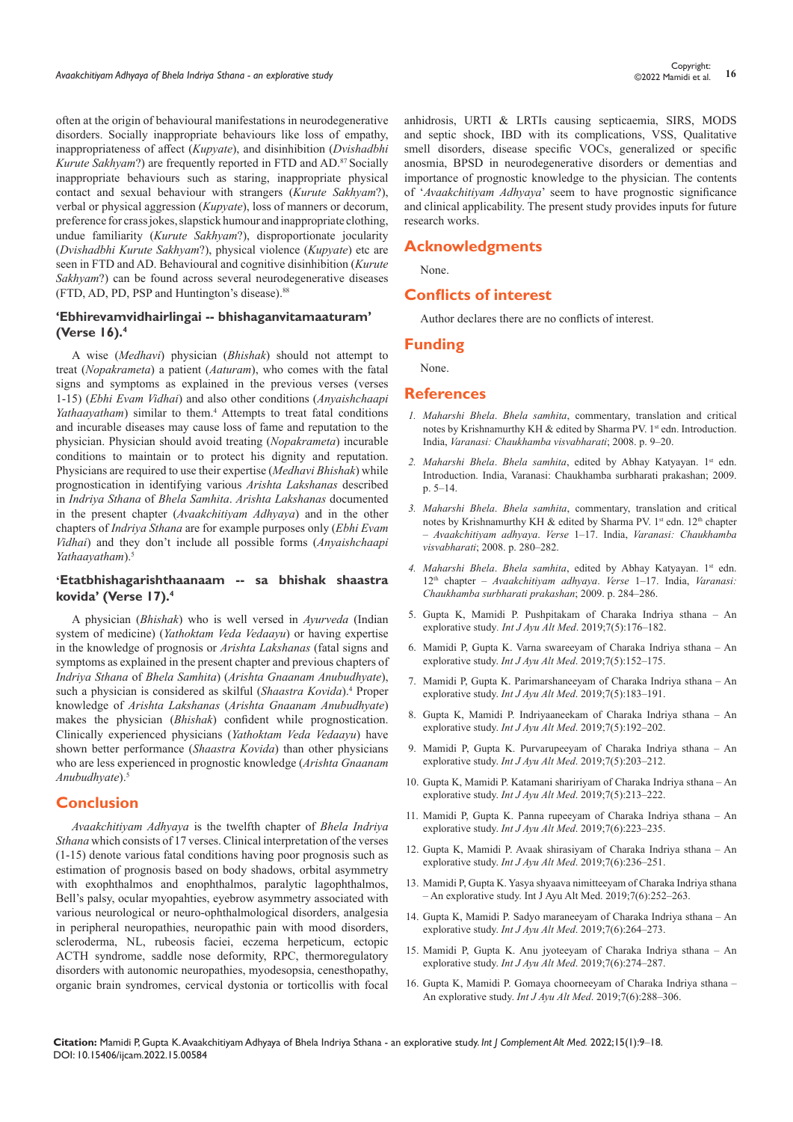often at the origin of behavioural manifestations in neurodegenerative disorders. Socially inappropriate behaviours like loss of empathy, inappropriateness of affect (*Kupyate*), and disinhibition (*Dvishadbhi Kurute Sakhyam*?) are frequently reported in FTD and AD.<sup>87</sup> Socially inappropriate behaviours such as staring, inappropriate physical contact and sexual behaviour with strangers (*Kurute Sakhyam*?), verbal or physical aggression (*Kupyate*), loss of manners or decorum, preference for crass jokes, slapstick humour and inappropriate clothing, undue familiarity (*Kurute Sakhyam*?), disproportionate jocularity (*Dvishadbhi Kurute Sakhyam*?), physical violence (*Kupyate*) etc are seen in FTD and AD. Behavioural and cognitive disinhibition (*Kurute Sakhyam*?) can be found across several neurodegenerative diseases (FTD, AD, PD, PSP and Huntington's disease).<sup>88</sup>

## **'Ebhirevamvidhairlingai -- bhishaganvitamaaturam' (Verse 16).4**

A wise (*Medhavi*) physician (*Bhishak*) should not attempt to treat (*Nopakrameta*) a patient (*Aaturam*), who comes with the fatal signs and symptoms as explained in the previous verses (verses 1-15) (*Ebhi Evam Vidhai*) and also other conditions (*Anyaishchaapi*  Yathaayatham) similar to them.<sup>4</sup> Attempts to treat fatal conditions and incurable diseases may cause loss of fame and reputation to the physician. Physician should avoid treating (*Nopakrameta*) incurable conditions to maintain or to protect his dignity and reputation. Physicians are required to use their expertise (*Medhavi Bhishak*) while prognostication in identifying various *Arishta Lakshanas* described in *Indriya Sthana* of *Bhela Samhita*. *Arishta Lakshanas* documented in the present chapter (*Avaakchitiyam Adhyaya*) and in the other chapters of *Indriya Sthana* are for example purposes only (*Ebhi Evam Vidhai*) and they don't include all possible forms (*Anyaishchaapi Yathaayatham*).<sup>5</sup>

### **'Etatbhishagarishthaanaam -- sa bhishak shaastra kovida' (Verse 17).4**

A physician (*Bhishak*) who is well versed in *Ayurveda* (Indian system of medicine) (*Yathoktam Veda Vedaayu*) or having expertise in the knowledge of prognosis or *Arishta Lakshanas* (fatal signs and symptoms as explained in the present chapter and previous chapters of *Indriya Sthana* of *Bhela Samhita*) (*Arishta Gnaanam Anubudhyate*), such a physician is considered as skilful (Shaastra Kovida).<sup>4</sup> Proper knowledge of *Arishta Lakshanas* (*Arishta Gnaanam Anubudhyate*) makes the physician (*Bhishak*) confident while prognostication. Clinically experienced physicians (*Yathoktam Veda Vedaayu*) have shown better performance (*Shaastra Kovida*) than other physicians who are less experienced in prognostic knowledge (*Arishta Gnaanam Anubudhyate*).<sup>5</sup>

### **Conclusion**

*Avaakchitiyam Adhyaya* is the twelfth chapter of *Bhela Indriya Sthana* which consists of 17 verses. Clinical interpretation of the verses (1-15) denote various fatal conditions having poor prognosis such as estimation of prognosis based on body shadows, orbital asymmetry with exophthalmos and enophthalmos, paralytic lagophthalmos, Bell's palsy, ocular myopahties, eyebrow asymmetry associated with various neurological or neuro-ophthalmological disorders, analgesia in peripheral neuropathies, neuropathic pain with mood disorders, scleroderma, NL, rubeosis faciei, eczema herpeticum, ectopic ACTH syndrome, saddle nose deformity, RPC, thermoregulatory disorders with autonomic neuropathies, myodesopsia, cenesthopathy, organic brain syndromes, cervical dystonia or torticollis with focal

anhidrosis, URTI & LRTIs causing septicaemia, SIRS, MODS and septic shock, IBD with its complications, VSS, Qualitative smell disorders, disease specific VOCs, generalized or specific anosmia, BPSD in neurodegenerative disorders or dementias and importance of prognostic knowledge to the physician. The contents of '*Avaakchitiyam Adhyaya*' seem to have prognostic significance and clinical applicability. The present study provides inputs for future research works.

# **Acknowledgments**

None.

# **Conflicts of interest**

Author declares there are no conflicts of interest.

#### **Funding**

None.

#### **References**

- *1. Maharshi Bhela*. *Bhela samhita*, commentary, translation and critical notes by Krishnamurthy KH & edited by Sharma PV. 1<sup>st</sup> edn. Introduction. India, *Varanasi: Chaukhamba visvabharati*; 2008. p. 9–20.
- 2. *Maharshi Bhela. Bhela samhita*, edited by Abhay Katyayan. 1<sup>st</sup> edn. Introduction. India, Varanasi: Chaukhamba surbharati prakashan; 2009. p. 5–14.
- *3. Maharshi Bhela*. *Bhela samhita*, commentary, translation and critical notes by Krishnamurthy KH & edited by Sharma PV. 1st edn. 12th chapter – *Avaakchitiyam adhyaya*. *Verse* 1–17. India, *Varanasi: Chaukhamba visvabharati*; 2008. p. 280–282.
- *4. Maharshi Bhela*. *Bhela samhita*, edited by Abhay Katyayan. 1st edn. 12th chapter – *Avaakchitiyam adhyaya*. *Verse* 1–17. India, *Varanasi: Chaukhamba surbharati prakashan*; 2009. p. 284–286.
- 5. Gupta K, Mamidi P. Pushpitakam of Charaka Indriya sthana An explorative study*. Int J Ayu Alt Med*. 2019;7(5):176–182.
- 6. Mamidi P, Gupta K. Varna swareeyam of Charaka Indriya sthana An explorative study. *Int J Ayu Alt Med*. 2019;7(5):152–175.
- 7. Mamidi P, Gupta K. Parimarshaneeyam of Charaka Indriya sthana An explorative study. *Int J Ayu Alt Med*. 2019;7(5):183–191.
- 8. Gupta K, Mamidi P. Indriyaaneekam of Charaka Indriya sthana An explorative study. *Int J Ayu Alt Med*. 2019;7(5):192–202.
- 9. Mamidi P, Gupta K. Purvarupeeyam of Charaka Indriya sthana An explorative study. *Int J Ayu Alt Med*. 2019;7(5):203–212.
- 10. [Gupta K, Mamidi P. Katamani shaririyam of Charaka Indriya sthana An](https://www.scribd.com/document/463049711/Katamani-shaririyam-of-Charaka-Indriya-Sthana-An-explorative-study)  explorative study. *Int J Ayu Alt Med*[. 2019;7\(5\):213–222.](https://www.scribd.com/document/463049711/Katamani-shaririyam-of-Charaka-Indriya-Sthana-An-explorative-study)
- 11. Mamidi P, Gupta K. Panna rupeeyam of Charaka Indriya sthana An explorative study. *Int J Ayu Alt Med*. 2019;7(6):223–235.
- 12. Gupta K, Mamidi P. Avaak shirasiyam of Charaka Indriya sthana An explorative study. *Int J Ayu Alt Med*. 2019;7(6):236–251.
- 13. Mamidi P, Gupta K. Yasya shyaava nimitteeyam of Charaka Indriya sthana – An explorative study. Int J Ayu Alt Med. 2019;7(6):252–263.
- 14. Gupta K, Mamidi P. Sadyo maraneeyam of Charaka Indriya sthana An explorative study. *Int J Ayu Alt Med*. 2019;7(6):264–273.
- 15. [Mamidi P, Gupta K. Anu jyoteeyam of Charaka Indriya sthana An](https://www.joinsysmed.com/article.asp?issn=2320-4419;year=2020;volume=8;issue=4;spage=249;epage=265;aulast=Gupta;type=0)  explorative study. *Int J Ayu Alt Med*[. 2019;7\(6\):274–287.](https://www.joinsysmed.com/article.asp?issn=2320-4419;year=2020;volume=8;issue=4;spage=249;epage=265;aulast=Gupta;type=0)
- 16. [Gupta K, Mamidi P. Gomaya choorneeyam of Charaka Indriya sthana](https://medcraveonline.com/IJCAM/IJCAM-14-00527.pdf)  [An explorative study.](https://medcraveonline.com/IJCAM/IJCAM-14-00527.pdf) *Int J Ayu Alt Med*. 2019;7(6):288–306.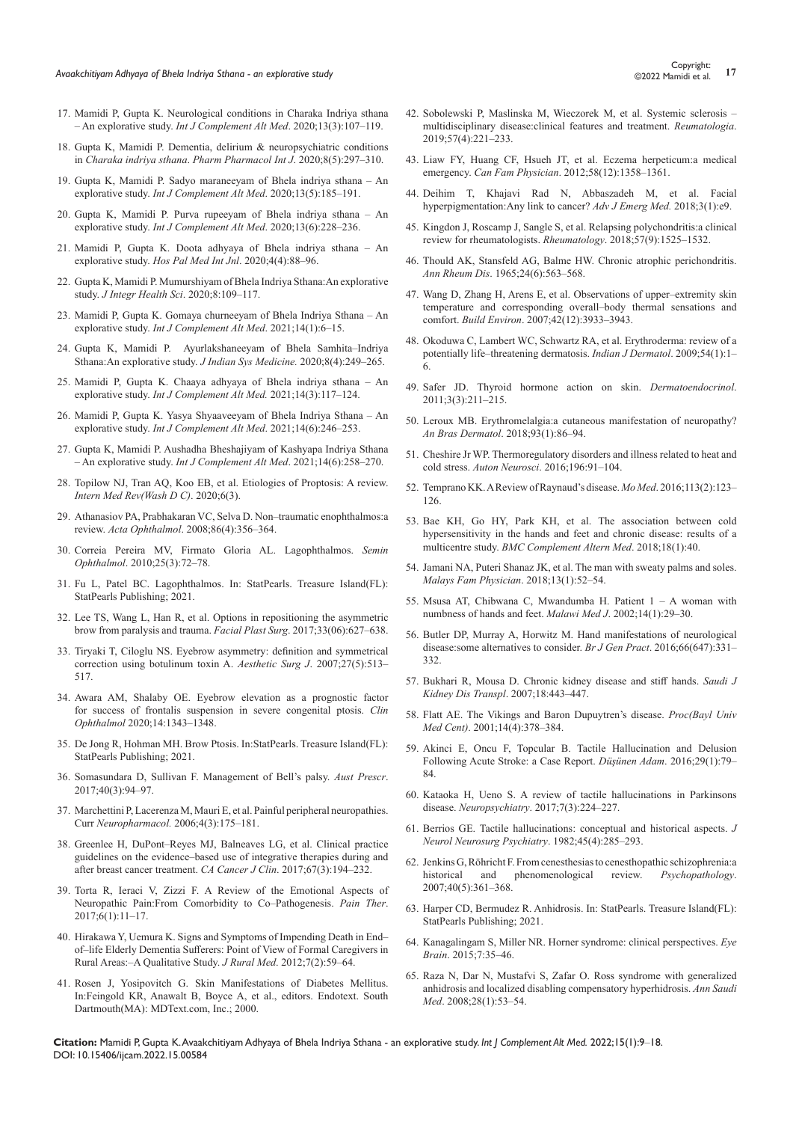- 17. [Mamidi P, Gupta K. Neurological conditions in Charaka Indriya sthana](https://medcraveonline.com/IJCAM/IJCAM-13-00503.pdf)  – An explorative study. *[Int J Complement Alt Med](https://medcraveonline.com/IJCAM/IJCAM-13-00503.pdf)*. 2020;13(3):107–119.
- 18. [Gupta K, Mamidi P. Dementia, delirium & neuropsychiatric conditions](https://medcraveonline.com/PPIJ/PPIJ-08-00309.pdf)  in *[Charaka indriya sthana](https://medcraveonline.com/PPIJ/PPIJ-08-00309.pdf)*. *Pharm Pharmacol Int J*. 2020;8(5):297‒310.
- 19. [Gupta K, Mamidi P. Sadyo maraneeyam of Bhela indriya sthana An](https://medcraveonline.com/IJCAM/IJCAM-13-00514.pdf)  explorative study. *[Int J Complement Alt Med](https://medcraveonline.com/IJCAM/IJCAM-13-00514.pdf).* 2020;13(5):185-191.
- 20. [Gupta K, Mamidi P. Purva rupeeyam of Bhela indriya sthana An](https://medcraveonline.com/IJCAM/purva-rupeeyam-of-bhela-indriya-sthana-an-explorative-study.html)  explorative study. *[Int J Complement Alt Med](https://medcraveonline.com/IJCAM/purva-rupeeyam-of-bhela-indriya-sthana-an-explorative-study.html).* 2020;13(6):228-236.
- 21. [Mamidi P, Gupta K. Doota adhyaya of Bhela indriya sthana An](https://medcraveonline.com/HPMIJ/HPMIJ-04-00194.pdf)  explorative study. [Hos Pal Med Int Jnl](https://medcraveonline.com/HPMIJ/HPMIJ-04-00194.pdf). 2020;4(4):88-96.
- 22. [Gupta K, Mamidi P. Mumurshiyam of Bhela Indriya Sthana:An explorative](https://www.jihs.in/article.asp?issn=2347-6486;year=2020;volume=8;issue=2;spage=109;epage=117;aulast=Gupta)  study. *[J Integr Health Sci](https://www.jihs.in/article.asp?issn=2347-6486;year=2020;volume=8;issue=2;spage=109;epage=117;aulast=Gupta)*. 2020;8:109–117.
- 23. [Mamidi P, Gupta K. Gomaya churneeyam of Bhela Indriya Sthana An](https://medcraveonline.com/IJCAM/IJCAM-14-00527.pdf)  explorative study. *[Int J Complement Alt Med](https://medcraveonline.com/IJCAM/IJCAM-14-00527.pdf).* 2021;14(1):6-15.
- 24. [Gupta K, Mamidi P. Ayurlakshaneeyam of Bhela Samhita–Indriya](https://www.joinsysmed.com/article.asp?issn=2320-4419;year=2020;volume=8;issue=4;spage=249;epage=265;aulast=Gupta)  [Sthana:An explorative study.](https://www.joinsysmed.com/article.asp?issn=2320-4419;year=2020;volume=8;issue=4;spage=249;epage=265;aulast=Gupta) *J Indian Sys Medicine.* 2020;8(4):249–265.
- 25. [Mamidi P, Gupta K. Chaaya adhyaya of Bhela indriya sthana An](https://medcraveonline.com/IJCAM/IJCAM-14-00544.pdf)  explorative study. *[Int J Complement Alt Med.](https://medcraveonline.com/IJCAM/IJCAM-14-00544.pdf)* 2021;14(3):117-124.
- 26. [Mamidi P, Gupta K. Yasya Shyaaveeyam of Bhela Indriya Sthana An](https://medcraveonline.com/IJCAM/IJCAM-14-00569.pdf)  explorative study. *[Int J Complement Alt Med](https://medcraveonline.com/IJCAM/IJCAM-14-00569.pdf).* 2021;14(6):246-253.
- 27. [Gupta K, Mamidi P. Aushadha Bheshajiyam of Kashyapa Indriya Sthana](https://medcraveonline.com/IJCAM/IJCAM-14-00571.pdf)  – An explorative study. *[Int J Complement Alt Med](https://medcraveonline.com/IJCAM/IJCAM-14-00571.pdf)*. 2021;14(6):258–270.
- 28. [Topilow NJ, Tran AQ, Koo EB, et al. Etiologies of Proptosis: A review.](https://www.ncbi.nlm.nih.gov/labs/pmc/articles/PMC7204542/)  *[Intern Med Rev\(Wash D C\)](https://www.ncbi.nlm.nih.gov/labs/pmc/articles/PMC7204542/)*. 2020;6(3).
- 29. [Athanasiov PA, Prabhakaran VC, Selva D. Non–traumatic enophthalmos:a](https://pubmed.ncbi.nlm.nih.gov/18462475/)  review. *Acta Ophthalmol*[. 2008;86\(4\):356–364.](https://pubmed.ncbi.nlm.nih.gov/18462475/)
- 30. [Correia Pereira MV, Firmato Gloria AL. Lagophthalmos.](https://pubmed.ncbi.nlm.nih.gov/20590416/) *Semin Ophthalmol*[. 2010;25\(3\):72–78.](https://pubmed.ncbi.nlm.nih.gov/20590416/)
- 31. [Fu L, Patel BC. Lagophthalmos. In: StatPearls. Treasure Island\(FL\):](https://www.ncbi.nlm.nih.gov/books/NBK560661/)  [StatPearls Publishing; 2021.](https://www.ncbi.nlm.nih.gov/books/NBK560661/)
- 32. [Lee TS, Wang L, Han R, et al. Options in repositioning the asymmetric](https://pubmed.ncbi.nlm.nih.gov/29195244/)  [brow from paralysis and trauma.](https://pubmed.ncbi.nlm.nih.gov/29195244/) *Facial Plast Surg*. 2017;33(06):627–638.
- 33. [Tiryaki T, Ciloglu NS. Eyebrow asymmetry: definition and symmetrical](https://www.researchgate.net/publication/24253266_Eyebrow_Asymmetry_Definition_and_Symmetrical_Correction_Using_Botulinum_Toxin_A)  [correction using botulinum toxin A.](https://www.researchgate.net/publication/24253266_Eyebrow_Asymmetry_Definition_and_Symmetrical_Correction_Using_Botulinum_Toxin_A) *Aesthetic Surg J*. 2007;27(5):513– [517.](https://www.researchgate.net/publication/24253266_Eyebrow_Asymmetry_Definition_and_Symmetrical_Correction_Using_Botulinum_Toxin_A)
- 34. [Awara AM, Shalaby OE. Eyebrow elevation as a prognostic factor](https://pubmed.ncbi.nlm.nih.gov/32546941/)  [for success of frontalis suspension in severe congenital ptosis.](https://pubmed.ncbi.nlm.nih.gov/32546941/) *Clin Ophthalmol* [2020;14:1343–1348.](https://pubmed.ncbi.nlm.nih.gov/32546941/)
- 35. [De Jong R, Hohman MH. Brow Ptosis. In:StatPearls. Treasure Island\(FL\):](https://www.ncbi.nlm.nih.gov/books/NBK560762/)  [StatPearls Publishing; 2021.](https://www.ncbi.nlm.nih.gov/books/NBK560762/)
- 36. [Somasundara D, Sullivan F. Management of Bell's palsy.](https://www.ncbi.nlm.nih.gov/labs/pmc/articles/PMC5478391/) *Aust Prescr*. [2017;40\(3\):94–97.](https://www.ncbi.nlm.nih.gov/labs/pmc/articles/PMC5478391/)
- 37. [Marchettini P, Lacerenza M, Mauri E, et al. Painful peripheral neuropathies.](https://pubmed.ncbi.nlm.nih.gov/18615140/)  Curr *Neuropharmacol.* [2006;4\(3\):175–181.](https://pubmed.ncbi.nlm.nih.gov/18615140/)
- 38. [Greenlee H, DuPont–Reyes MJ, Balneaves LG, et al. Clinical practice](https://pubmed.ncbi.nlm.nih.gov/28436999/)  [guidelines on the evidence–based use of integrative therapies during and](https://pubmed.ncbi.nlm.nih.gov/28436999/)  [after breast cancer treatment.](https://pubmed.ncbi.nlm.nih.gov/28436999/) *CA Cancer J Clin*. 2017;67(3):194–232.
- 39. [Torta R, Ieraci V, Zizzi F. A Review of the Emotional Aspects of](https://pubmed.ncbi.nlm.nih.gov/29178035/)  [Neuropathic Pain:From Comorbidity to Co–Pathogenesis.](https://pubmed.ncbi.nlm.nih.gov/29178035/) *Pain Ther*. [2017;6\(1\):11–17.](https://pubmed.ncbi.nlm.nih.gov/29178035/)
- 40. [Hirakawa Y, Uemura K. Signs and Symptoms of Impending Death in End–](https://pubmed.ncbi.nlm.nih.gov/25649740/) [of–life Elderly Dementia Sufferers: Point of View of Formal Caregivers in](https://pubmed.ncbi.nlm.nih.gov/25649740/)  [Rural Areas:–A Qualitative Study.](https://pubmed.ncbi.nlm.nih.gov/25649740/) *J Rural Med*. 2012;7(2):59–64.
- 41. [Rosen J, Yosipovitch G. Skin Manifestations of Diabetes Mellitus.](https://www.ncbi.nlm.nih.gov/books/NBK481900/)  [In:Feingold KR, Anawalt B, Boyce A, et al., editors. Endotext. South](https://www.ncbi.nlm.nih.gov/books/NBK481900/)  [Dartmouth\(MA\): MDText.com, Inc.; 2000.](https://www.ncbi.nlm.nih.gov/books/NBK481900/)
- 42. [Sobolewski P, Maslinska M, Wieczorek M, et al. Systemic sclerosis](https://pubmed.ncbi.nlm.nih.gov/31548749/)  [multidisciplinary disease:clinical features and treatment.](https://pubmed.ncbi.nlm.nih.gov/31548749/) *Reumatologia*. [2019;57\(4\):221–233.](https://pubmed.ncbi.nlm.nih.gov/31548749/)
- 43. [Liaw FY, Huang CF, Hsueh JT, et al. Eczema herpeticum:a medical](https://pubmed.ncbi.nlm.nih.gov/23242894/)  emergency. *Can Fam Physician*[. 2012;58\(12\):1358–1361.](https://pubmed.ncbi.nlm.nih.gov/23242894/)
- 44. [Deihim T, Khajavi Rad N, Abbaszadeh M, et al. Facial](https://pubmed.ncbi.nlm.nih.gov/31172120/)  [hyperpigmentation:Any link to cancer?](https://pubmed.ncbi.nlm.nih.gov/31172120/) *Adv J Emerg Med.* 2018;3(1):e9.
- 45. [Kingdon J, Roscamp J, Sangle S, et al. Relapsing polychondritis:a clinical](https://pubmed.ncbi.nlm.nih.gov/29126262/)  [review for rheumatologists.](https://pubmed.ncbi.nlm.nih.gov/29126262/) *Rheumatology*. 2018;57(9):1525–1532.
- 46. [Thould AK, Stansfeld AG, Balme HW. Chronic atrophic perichondritis.](https://www.ncbi.nlm.nih.gov/labs/pmc/articles/PMC1010407/)  *Ann Rheum Dis*[. 1965;24\(6\):563–568.](https://www.ncbi.nlm.nih.gov/labs/pmc/articles/PMC1010407/)
- 47. [Wang D, Zhang H, Arens E, et al. Observations of upper–extremity skin](https://www.sciencedirect.com/science/article/abs/pii/S0360132306003647)  [temperature and corresponding overall–body thermal sensations and](https://www.sciencedirect.com/science/article/abs/pii/S0360132306003647)  comfort. *Build Environ*[. 2007;42\(12\):3933–3943.](https://www.sciencedirect.com/science/article/abs/pii/S0360132306003647)
- 48. [Okoduwa C, Lambert WC, Schwartz RA, et al. Erythroderma: review of a](https://pubmed.ncbi.nlm.nih.gov/20049259/)  [potentially life–threatening dermatosis.](https://pubmed.ncbi.nlm.nih.gov/20049259/) *Indian J Dermatol*. 2009;54(1):1– [6.](https://pubmed.ncbi.nlm.nih.gov/20049259/)
- 49. [Safer JD. Thyroid hormone action on skin.](https://pubmed.ncbi.nlm.nih.gov/22110782/) *Dermatoendocrinol*. [2011;3\(3\):211–215.](https://pubmed.ncbi.nlm.nih.gov/22110782/)
- 50. [Leroux MB. Erythromelalgia:a cutaneous manifestation of neuropathy?](https://www.ncbi.nlm.nih.gov/labs/pmc/articles/PMC5871369/)  *An Bras Dermatol*[. 2018;93\(1\):86–94.](https://www.ncbi.nlm.nih.gov/labs/pmc/articles/PMC5871369/)
- 51. [Cheshire Jr WP. Thermoregulatory disorders and illness related to heat and](https://pubmed.ncbi.nlm.nih.gov/26794588/)  cold stress. *Auton Neurosci*[. 2016;196:91–104.](https://pubmed.ncbi.nlm.nih.gov/26794588/)
- 52. [Temprano KK. A Review of Raynaud's disease.](https://pubmed.ncbi.nlm.nih.gov/27311222/) *Mo Med*. 2016;113(2):123– [126.](https://pubmed.ncbi.nlm.nih.gov/27311222/)
- 53. [Bae KH, Go HY, Park KH, et al. The association between cold](https://pubmed.ncbi.nlm.nih.gov/29385996/)  [hypersensitivity in the hands and feet and chronic disease: results of a](https://pubmed.ncbi.nlm.nih.gov/29385996/)  multicentre study. *[BMC Complement Altern Med](https://pubmed.ncbi.nlm.nih.gov/29385996/)*. 2018;18(1):40.
- 54. [Jamani NA, Puteri Shanaz JK, et al. The man with sweaty palms and soles.](https://pubmed.ncbi.nlm.nih.gov/29796213/)  *[Malays Fam Physician](https://pubmed.ncbi.nlm.nih.gov/29796213/)*. 2018;13(1):52–54.
- 55. [Msusa AT, Chibwana C, Mwandumba H. Patient 1 A woman with](https://www.ncbi.nlm.nih.gov/labs/pmc/articles/PMC3345410/)  [numbness of hands and feet.](https://www.ncbi.nlm.nih.gov/labs/pmc/articles/PMC3345410/) *Malawi Med J*. 2002;14(1):29–30.
- 56. [Butler DP, Murray A, Horwitz M. Hand manifestations of neurological](https://www.ncbi.nlm.nih.gov/labs/pmc/articles/PMC4871301/)  [disease:some alternatives to consider.](https://www.ncbi.nlm.nih.gov/labs/pmc/articles/PMC4871301/) *Br J Gen Pract*. 2016;66(647):331– [332.](https://www.ncbi.nlm.nih.gov/labs/pmc/articles/PMC4871301/)
- 57. [Bukhari R, Mousa D. Chronic kidney disease and stiff hands.](https://pubmed.ncbi.nlm.nih.gov/17679762/) *Saudi J Kidney Dis Transpl*[. 2007;18:443–447.](https://pubmed.ncbi.nlm.nih.gov/17679762/)
- 58. [Flatt AE. The Vikings and Baron Dupuytren's disease.](https://www.ncbi.nlm.nih.gov/labs/pmc/articles/PMC1305903/) *Proc(Bayl Univ Med Cent)*[. 2001;14\(4\):378–384.](https://www.ncbi.nlm.nih.gov/labs/pmc/articles/PMC1305903/)
- 59. [Akinci E, Oncu F, Topcular B. Tactile Hallucination and Delusion](https://psycnet.apa.org/record/2016-24603-010)  [Following Acute Stroke: a Case Report.](https://psycnet.apa.org/record/2016-24603-010) *Düşünen Adam*. 2016;29(1):79– [84.](https://psycnet.apa.org/record/2016-24603-010)
- 60. [Kataoka H, Ueno S. A review of tactile hallucinations in Parkinsons](https://www.jneuropsychiatry.org/peer-review/a-review-of-tactile-hallucinations-in-parkinsons-disease.pdf)  disease. *Neuropsychiatry*[. 2017;7\(3\):224–227.](https://www.jneuropsychiatry.org/peer-review/a-review-of-tactile-hallucinations-in-parkinsons-disease.pdf)
- 61. [Berrios GE. Tactile hallucinations: conceptual and historical aspects.](https://pubmed.ncbi.nlm.nih.gov/7042917/) *J Neurol Neurosurg Psychiatry*[. 1982;45\(4\):285–293.](https://pubmed.ncbi.nlm.nih.gov/7042917/)
- 62. [Jenkins G, Röhricht F. From cenesthesias to cenesthopathic schizophrenia:a](https://pubmed.ncbi.nlm.nih.gov/17657136/)  [historical and phenomenological review.](https://pubmed.ncbi.nlm.nih.gov/17657136/) *Psychopathology*. [2007;40\(5\):361–368.](https://pubmed.ncbi.nlm.nih.gov/17657136/)
- 63. [Harper CD, Bermudez R. Anhidrosis. In: StatPearls. Treasure Island\(FL\):](https://www.ncbi.nlm.nih.gov/books/NBK555988/)  [StatPearls Publishing; 2021.](https://www.ncbi.nlm.nih.gov/books/NBK555988/)
- 64. [Kanagalingam S, Miller NR. Horner syndrome: clinical perspectives.](https://pubmed.ncbi.nlm.nih.gov/28539793/) *Eye Brain*[. 2015;7:35–46.](https://pubmed.ncbi.nlm.nih.gov/28539793/)
- 65. [Raza N, Dar N, Mustafvi S, Zafar O. Ross syndrome with generalized](https://pubmed.ncbi.nlm.nih.gov/18299650/)  [anhidrosis and localized disabling compensatory hyperhidrosis.](https://pubmed.ncbi.nlm.nih.gov/18299650/) *Ann Saudi Med*[. 2008;28\(1\):53–54.](https://pubmed.ncbi.nlm.nih.gov/18299650/)

**Citation:** Mamidi P, Gupta K. Avaakchitiyam Adhyaya of Bhela Indriya Sthana - an explorative study. *Int J Complement Alt Med.* 2022;15(1):9‒18. DOI: [10.15406/ijcam.2022.15.00584](https://doi.org/10.15406/ijcam.2022.15.00584)